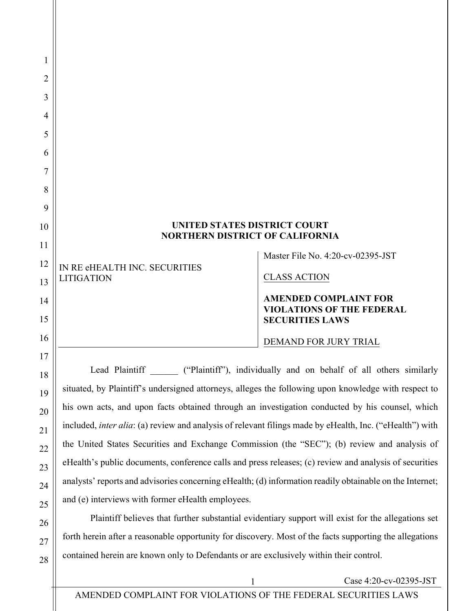| <b>UNITED STATES DISTRICT COURT</b><br><b>NORTHERN DISTRICT OF CALIFORNIA</b> |                                                                                            |
|-------------------------------------------------------------------------------|--------------------------------------------------------------------------------------------|
| IN RE eHEALTH INC. SECURITIES                                                 | Master File No. 4:20-cv-02395-JST                                                          |
| <b>LITIGATION</b>                                                             | <b>CLASS ACTION</b>                                                                        |
|                                                                               | <b>AMENDED COMPLAINT FOR</b><br><b>VIOLATIONS OF THE FEDERAL</b><br><b>SECURITIES LAWS</b> |
|                                                                               | DEMAND FOR JURY TRIAL                                                                      |
|                                                                               | Lead Plaintiff ("Plaintiff"), individually and on behalf of all others similarly           |

situated, by Plaintiff's undersigned attorneys, alleges the following upon knowledge with respect to his own acts, and upon facts obtained through an investigation conducted by his counsel, which included, *inter alia*: (a) review and analysis of relevant filings made by eHealth, Inc. ("eHealth") with the United States Securities and Exchange Commission (the "SEC"); (b) review and analysis of eHealth's public documents, conference calls and press releases; (c) review and analysis of securities analysts' reports and advisories concerning eHealth; (d) information readily obtainable on the Internet; and (e) interviews with former eHealth employees.

Plaintiff believes that further substantial evidentiary support will exist for the allegations set forth herein after a reasonable opportunity for discovery. Most of the facts supporting the allegations contained herein are known only to Defendants or are exclusively within their control.

1 Case 4:20-cv-02395-JST

1

2

3

4

5

6

7

8

9

10

11

12

13

14

15

16

17

18

19

20

21

22

23

24

25

26

27

28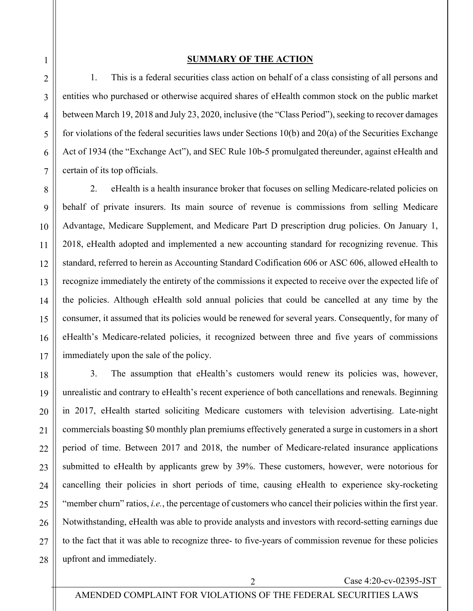#### **SUMMARY OF THE ACTION**

1. This is a federal securities class action on behalf of a class consisting of all persons and entities who purchased or otherwise acquired shares of eHealth common stock on the public market between March 19, 2018 and July 23, 2020, inclusive (the "Class Period"), seeking to recover damages for violations of the federal securities laws under Sections 10(b) and 20(a) of the Securities Exchange Act of 1934 (the "Exchange Act"), and SEC Rule 10b-5 promulgated thereunder, against eHealth and certain of its top officials.

2. eHealth is a health insurance broker that focuses on selling Medicare-related policies on behalf of private insurers. Its main source of revenue is commissions from selling Medicare Advantage, Medicare Supplement, and Medicare Part D prescription drug policies. On January 1, 2018, eHealth adopted and implemented a new accounting standard for recognizing revenue. This standard, referred to herein as Accounting Standard Codification 606 or ASC 606, allowed eHealth to recognize immediately the entirety of the commissions it expected to receive over the expected life of the policies. Although eHealth sold annual policies that could be cancelled at any time by the consumer, it assumed that its policies would be renewed for several years. Consequently, for many of eHealth's Medicare-related policies, it recognized between three and five years of commissions immediately upon the sale of the policy.

18 19 20 21 22 23 24 25 26 27 28 3. The assumption that eHealth's customers would renew its policies was, however, unrealistic and contrary to eHealth's recent experience of both cancellations and renewals. Beginning in 2017, eHealth started soliciting Medicare customers with television advertising. Late-night commercials boasting \$0 monthly plan premiums effectively generated a surge in customers in a short period of time. Between 2017 and 2018, the number of Medicare-related insurance applications submitted to eHealth by applicants grew by 39%. These customers, however, were notorious for cancelling their policies in short periods of time, causing eHealth to experience sky-rocketing "member churn" ratios, *i.e.*, the percentage of customers who cancel their policies within the first year. Notwithstanding, eHealth was able to provide analysts and investors with record-setting earnings due to the fact that it was able to recognize three- to five-years of commission revenue for these policies upfront and immediately.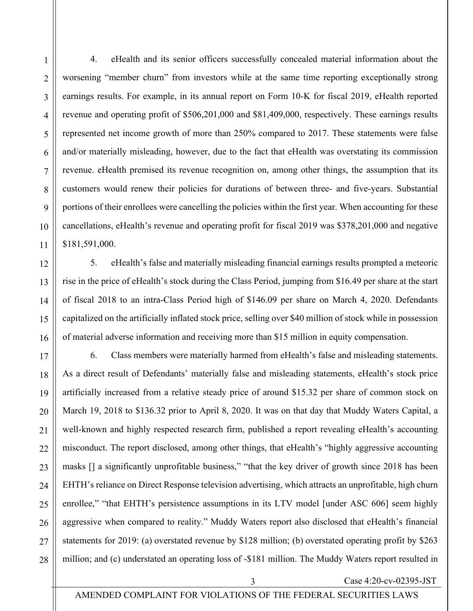4. eHealth and its senior officers successfully concealed material information about the worsening "member churn" from investors while at the same time reporting exceptionally strong earnings results. For example, in its annual report on Form 10-K for fiscal 2019, eHealth reported revenue and operating profit of \$506,201,000 and \$81,409,000, respectively. These earnings results represented net income growth of more than 250% compared to 2017. These statements were false and/or materially misleading, however, due to the fact that eHealth was overstating its commission revenue. eHealth premised its revenue recognition on, among other things, the assumption that its customers would renew their policies for durations of between three- and five-years. Substantial portions of their enrollees were cancelling the policies within the first year. When accounting for these cancellations, eHealth's revenue and operating profit for fiscal 2019 was \$378,201,000 and negative \$181,591,000.

5. eHealth's false and materially misleading financial earnings results prompted a meteoric rise in the price of eHealth's stock during the Class Period, jumping from \$16.49 per share at the start of fiscal 2018 to an intra-Class Period high of \$146.09 per share on March 4, 2020. Defendants capitalized on the artificially inflated stock price, selling over \$40 million of stock while in possession of material adverse information and receiving more than \$15 million in equity compensation.

6. Class members were materially harmed from eHealth's false and misleading statements. As a direct result of Defendants' materially false and misleading statements, eHealth's stock price artificially increased from a relative steady price of around \$15.32 per share of common stock on March 19, 2018 to \$136.32 prior to April 8, 2020. It was on that day that Muddy Waters Capital, a well-known and highly respected research firm, published a report revealing eHealth's accounting misconduct. The report disclosed, among other things, that eHealth's "highly aggressive accounting masks [] a significantly unprofitable business," "that the key driver of growth since 2018 has been EHTH's reliance on Direct Response television advertising, which attracts an unprofitable, high churn enrollee," "that EHTH's persistence assumptions in its LTV model [under ASC 606] seem highly aggressive when compared to reality." Muddy Waters report also disclosed that eHealth's financial statements for 2019: (a) overstated revenue by \$128 million; (b) overstated operating profit by \$263 million; and (c) understated an operating loss of -\$181 million. The Muddy Waters report resulted in

AMENDED COMPLAINT FOR VIOLATIONS OF THE FEDERAL SECURITIES LAWS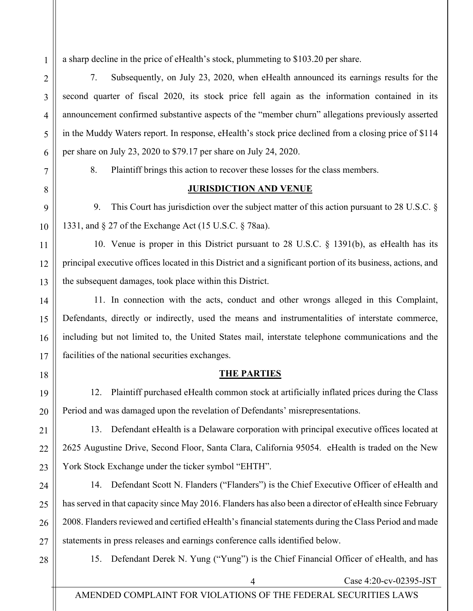a sharp decline in the price of eHealth's stock, plummeting to \$103.20 per share.

7. Subsequently, on July 23, 2020, when eHealth announced its earnings results for the second quarter of fiscal 2020, its stock price fell again as the information contained in its announcement confirmed substantive aspects of the "member churn" allegations previously asserted in the Muddy Waters report. In response, eHealth's stock price declined from a closing price of \$114 per share on July 23, 2020 to \$79.17 per share on July 24, 2020.

1

2

3

4

5

6

7

8

9

10

11

12

13

14

15

16

17

8. Plaintiff brings this action to recover these losses for the class members.

#### **JURISDICTION AND VENUE**

9. This Court has jurisdiction over the subject matter of this action pursuant to 28 U.S.C. § 1331, and § 27 of the Exchange Act (15 U.S.C. § 78aa).

10. Venue is proper in this District pursuant to 28 U.S.C. § 1391(b), as eHealth has its principal executive offices located in this District and a significant portion of its business, actions, and the subsequent damages, took place within this District.

11. In connection with the acts, conduct and other wrongs alleged in this Complaint, Defendants, directly or indirectly, used the means and instrumentalities of interstate commerce, including but not limited to, the United States mail, interstate telephone communications and the facilities of the national securities exchanges.

18

19

20

21

22

23

#### **THE PARTIES**

12. Plaintiff purchased eHealth common stock at artificially inflated prices during the Class Period and was damaged upon the revelation of Defendants' misrepresentations.

13. Defendant eHealth is a Delaware corporation with principal executive offices located at 2625 Augustine Drive, Second Floor, Santa Clara, California 95054. eHealth is traded on the New York Stock Exchange under the ticker symbol "EHTH".

24 25 26 27 14. Defendant Scott N. Flanders ("Flanders") is the Chief Executive Officer of eHealth and has served in that capacity since May 2016. Flanders has also been a director of eHealth since February 2008. Flanders reviewed and certified eHealth's financial statements during the Class Period and made statements in press releases and earnings conference calls identified below.

28

15. Defendant Derek N. Yung ("Yung") is the Chief Financial Officer of eHealth, and has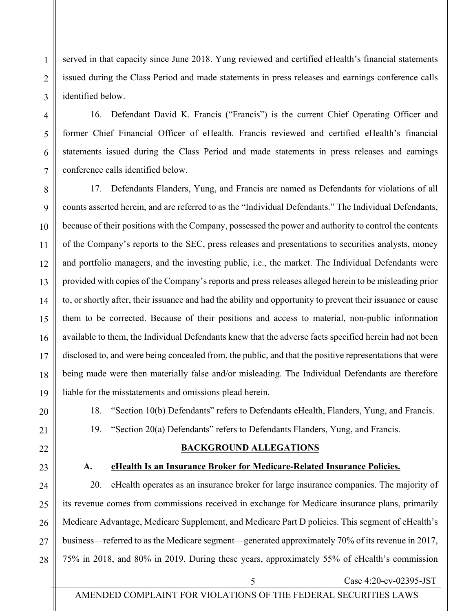7 10 14 15 16 18 18. "Section 10(b) Defendants" refers to Defendants eHealth, Flanders, Yung, and Francis. 19. "Section 20(a) Defendants" refers to Defendants Flanders, Yung, and Francis.

1

2

3

4

5

6

8

9

11

12

13

17

19

20

21

22

23

# **A. eHealth Is an Insurance Broker for Medicare-Related Insurance Policies.**

**BACKGROUND ALLEGATIONS** 

24 25 26 27 28 20. eHealth operates as an insurance broker for large insurance companies. The majority of its revenue comes from commissions received in exchange for Medicare insurance plans, primarily Medicare Advantage, Medicare Supplement, and Medicare Part D policies. This segment of eHealth's business—referred to as the Medicare segment—generated approximately 70% of its revenue in 2017, 75% in 2018, and 80% in 2019. During these years, approximately 55% of eHealth's commission

5 Case 4:20-cv-02395-JST

served in that capacity since June 2018. Yung reviewed and certified eHealth's financial statements issued during the Class Period and made statements in press releases and earnings conference calls identified below.

16. Defendant David K. Francis ("Francis") is the current Chief Operating Officer and former Chief Financial Officer of eHealth. Francis reviewed and certified eHealth's financial statements issued during the Class Period and made statements in press releases and earnings conference calls identified below.

17. Defendants Flanders, Yung, and Francis are named as Defendants for violations of all counts asserted herein, and are referred to as the "Individual Defendants." The Individual Defendants, because of their positions with the Company, possessed the power and authority to control the contents of the Company's reports to the SEC, press releases and presentations to securities analysts, money and portfolio managers, and the investing public, i.e., the market. The Individual Defendants were provided with copies of the Company's reports and press releases alleged herein to be misleading prior to, or shortly after, their issuance and had the ability and opportunity to prevent their issuance or cause them to be corrected. Because of their positions and access to material, non-public information available to them, the Individual Defendants knew that the adverse facts specified herein had not been disclosed to, and were being concealed from, the public, and that the positive representations that were being made were then materially false and/or misleading. The Individual Defendants are therefore liable for the misstatements and omissions plead herein.

AMENDED COMPLAINT FOR VIOLATIONS OF THE FEDERAL SECURITIES LAWS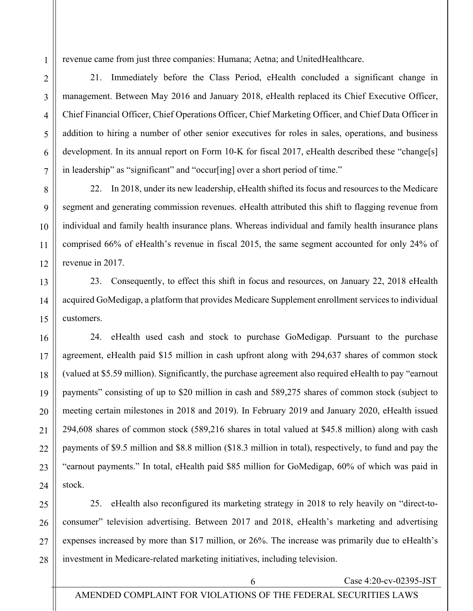revenue came from just three companies: Humana; Aetna; and UnitedHealthcare.

21. Immediately before the Class Period, eHealth concluded a significant change in management. Between May 2016 and January 2018, eHealth replaced its Chief Executive Officer, Chief Financial Officer, Chief Operations Officer, Chief Marketing Officer, and Chief Data Officer in addition to hiring a number of other senior executives for roles in sales, operations, and business development. In its annual report on Form 10-K for fiscal 2017, eHealth described these "change[s] in leadership" as "significant" and "occur[ing] over a short period of time."

22. In 2018, under its new leadership, eHealth shifted its focus and resources to the Medicare segment and generating commission revenues. eHealth attributed this shift to flagging revenue from individual and family health insurance plans. Whereas individual and family health insurance plans comprised 66% of eHealth's revenue in fiscal 2015, the same segment accounted for only 24% of revenue in 2017.

23. Consequently, to effect this shift in focus and resources, on January 22, 2018 eHealth acquired GoMedigap, a platform that provides Medicare Supplement enrollment services to individual customers.

24. eHealth used cash and stock to purchase GoMedigap. Pursuant to the purchase agreement, eHealth paid \$15 million in cash upfront along with 294,637 shares of common stock (valued at \$5.59 million). Significantly, the purchase agreement also required eHealth to pay "earnout payments" consisting of up to \$20 million in cash and 589,275 shares of common stock (subject to meeting certain milestones in 2018 and 2019). In February 2019 and January 2020, eHealth issued 294,608 shares of common stock (589,216 shares in total valued at \$45.8 million) along with cash payments of \$9.5 million and \$8.8 million (\$18.3 million in total), respectively, to fund and pay the "earnout payments." In total, eHealth paid \$85 million for GoMedigap, 60% of which was paid in stock.

25. eHealth also reconfigured its marketing strategy in 2018 to rely heavily on "direct-toconsumer" television advertising. Between 2017 and 2018, eHealth's marketing and advertising expenses increased by more than \$17 million, or 26%. The increase was primarily due to eHealth's investment in Medicare-related marketing initiatives, including television.

1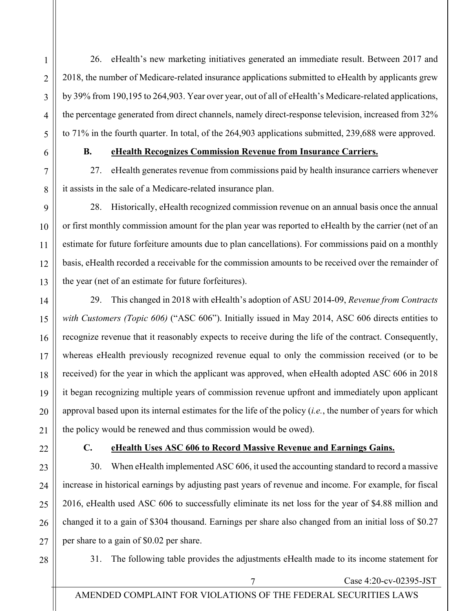26. eHealth's new marketing initiatives generated an immediate result. Between 2017 and 2018, the number of Medicare-related insurance applications submitted to eHealth by applicants grew by 39% from 190,195 to 264,903. Year over year, out of all of eHealth's Medicare-related applications, the percentage generated from direct channels, namely direct-response television, increased from 32% to 71% in the fourth quarter. In total, of the 264,903 applications submitted, 239,688 were approved.

1

2

3

4

5

6

7

8

9

10

11

12

13

14

15

16

17

18

19

20

21

22

# **B. eHealth Recognizes Commission Revenue from Insurance Carriers.**

27. eHealth generates revenue from commissions paid by health insurance carriers whenever it assists in the sale of a Medicare-related insurance plan.

28. Historically, eHealth recognized commission revenue on an annual basis once the annual or first monthly commission amount for the plan year was reported to eHealth by the carrier (net of an estimate for future forfeiture amounts due to plan cancellations). For commissions paid on a monthly basis, eHealth recorded a receivable for the commission amounts to be received over the remainder of the year (net of an estimate for future forfeitures).

29. This changed in 2018 with eHealth's adoption of ASU 2014-09, *Revenue from Contracts with Customers (Topic 606)* ("ASC 606"). Initially issued in May 2014, ASC 606 directs entities to recognize revenue that it reasonably expects to receive during the life of the contract. Consequently, whereas eHealth previously recognized revenue equal to only the commission received (or to be received) for the year in which the applicant was approved, when eHealth adopted ASC 606 in 2018 it began recognizing multiple years of commission revenue upfront and immediately upon applicant approval based upon its internal estimates for the life of the policy (*i.e.*, the number of years for which the policy would be renewed and thus commission would be owed).

# **C. eHealth Uses ASC 606 to Record Massive Revenue and Earnings Gains.**

23 24 25 26 27 30. When eHealth implemented ASC 606, it used the accounting standard to record a massive increase in historical earnings by adjusting past years of revenue and income. For example, for fiscal 2016, eHealth used ASC 606 to successfully eliminate its net loss for the year of \$4.88 million and changed it to a gain of \$304 thousand. Earnings per share also changed from an initial loss of \$0.27 per share to a gain of \$0.02 per share.

28

31. The following table provides the adjustments eHealth made to its income statement for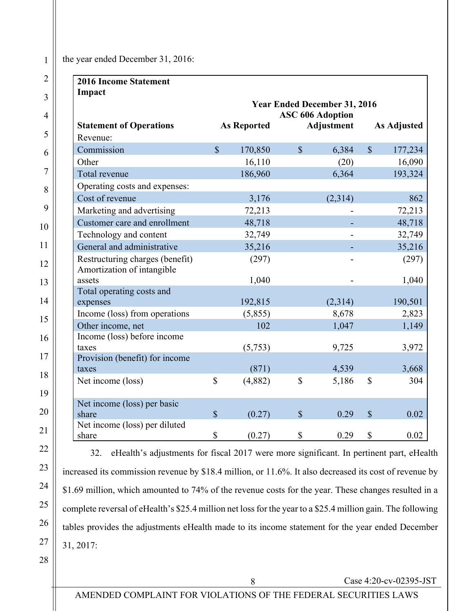#### the year ended December 31, 2016:

| <b>2016 Income Statement</b>                                  |                        |                    |               |                                     |               |                    |
|---------------------------------------------------------------|------------------------|--------------------|---------------|-------------------------------------|---------------|--------------------|
| Impact                                                        |                        |                    |               |                                     |               |                    |
|                                                               |                        |                    |               | <b>Year Ended December 31, 2016</b> |               |                    |
|                                                               |                        |                    |               | <b>ASC 606 Adoption</b>             |               |                    |
| <b>Statement of Operations</b>                                |                        | <b>As Reported</b> |               | <b>Adjustment</b>                   |               | <b>As Adjusted</b> |
| Revenue:                                                      |                        |                    |               |                                     |               |                    |
| Commission                                                    | $\mathbb{S}$           | 170,850            | $\mathbb{S}$  | 6,384                               | $\mathbb{S}$  | 177,234            |
| Other                                                         |                        | 16,110             |               | (20)                                |               | 16,090             |
| Total revenue                                                 |                        | 186,960            |               | 6,364                               |               | 193,324            |
| Operating costs and expenses:                                 |                        |                    |               |                                     |               |                    |
| Cost of revenue                                               |                        | 3,176              |               | (2,314)                             |               | 862                |
| Marketing and advertising                                     |                        | 72,213             |               |                                     |               | 72,213             |
| Customer care and enrollment                                  |                        | 48,718             |               |                                     |               | 48,718             |
| Technology and content                                        |                        | 32,749             |               |                                     |               | 32,749             |
| General and administrative                                    |                        | 35,216             |               |                                     |               | 35,216             |
| Restructuring charges (benefit)<br>Amortization of intangible |                        | (297)              |               |                                     |               | (297)              |
| assets                                                        |                        | 1,040              |               |                                     |               | 1,040              |
| Total operating costs and                                     |                        |                    |               |                                     |               |                    |
| expenses                                                      |                        | 192,815            |               | (2,314)                             |               | 190,501            |
| Income (loss) from operations                                 |                        | (5,855)            |               | 8,678                               |               | 2,823              |
| Other income, net                                             |                        | 102                |               | 1,047                               |               | 1,149              |
| Income (loss) before income                                   |                        |                    |               |                                     |               |                    |
| taxes                                                         |                        | (5,753)            |               | 9,725                               |               | 3,972              |
| Provision (benefit) for income                                |                        |                    |               |                                     |               |                    |
| taxes                                                         |                        | (871)              |               | 4,539                               |               | 3,668              |
| Net income (loss)                                             | \$                     | (4,882)            | $\mathbb{S}$  | 5,186                               | $\mathbb{S}$  | 304                |
| Net income (loss) per basic                                   |                        |                    |               |                                     |               |                    |
| share                                                         | $\sqrt{\frac{2}{\pi}}$ | (0.27)             | $\mathcal{S}$ | 0.29                                | $\mathcal{S}$ | 0.02               |
| Net income (loss) per diluted<br>share                        | \$                     | (0.27)             | \$            | 0.29                                | $\mathbb{S}$  | 0.02               |

1

2

3

4

5

6

7

8

32. eHealth's adjustments for fiscal 2017 were more significant. In pertinent part, eHealth increased its commission revenue by \$18.4 million, or 11.6%. It also decreased its cost of revenue by \$1.69 million, which amounted to 74% of the revenue costs for the year. These changes resulted in a complete reversal of eHealth's \$25.4 million net loss for the year to a \$25.4 million gain. The following tables provides the adjustments eHealth made to its income statement for the year ended December 31, 2017: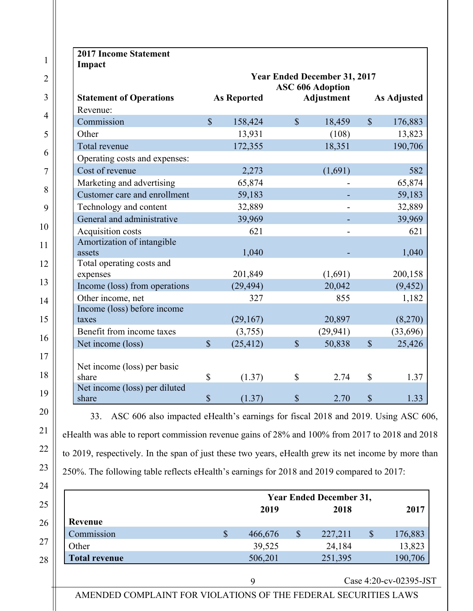|                                        |                           |                    |               | <b>Year Ended December 31, 2017</b><br><b>ASC 606 Adoption</b> |               |                    |
|----------------------------------------|---------------------------|--------------------|---------------|----------------------------------------------------------------|---------------|--------------------|
| <b>Statement of Operations</b>         |                           | <b>As Reported</b> |               | <b>Adjustment</b>                                              |               | <b>As Adjusted</b> |
| Revenue:                               |                           |                    |               |                                                                |               |                    |
| Commission                             | $\mathcal{S}$             | 158,424            | $\mathbb{S}$  | 18,459                                                         | $\mathcal{S}$ | 176,883            |
| Other                                  |                           | 13,931             |               | (108)                                                          |               | 13,823             |
| Total revenue                          |                           | 172,355            |               | 18,351                                                         |               | 190,706            |
| Operating costs and expenses:          |                           |                    |               |                                                                |               |                    |
| Cost of revenue                        |                           | 2,273              |               | (1,691)                                                        |               | 582                |
| Marketing and advertising              |                           | 65,874             |               |                                                                |               | 65,874             |
| Customer care and enrollment           |                           | 59,183             |               |                                                                |               | 59,183             |
| Technology and content                 |                           | 32,889             |               |                                                                |               | 32,889             |
| General and administrative             |                           | 39,969             |               |                                                                |               | 39,969             |
| Acquisition costs                      |                           | 621                |               |                                                                |               | 621                |
| Amortization of intangible             |                           |                    |               |                                                                |               |                    |
| assets                                 |                           | 1,040              |               |                                                                |               | 1,040              |
| Total operating costs and              |                           |                    |               |                                                                |               |                    |
| expenses                               |                           | 201,849            |               | (1,691)                                                        |               | 200,158            |
| Income (loss) from operations          |                           | (29, 494)          |               | 20,042                                                         |               | (9, 452)           |
| Other income, net                      |                           | 327                |               | 855                                                            |               | 1,182              |
| Income (loss) before income            |                           |                    |               |                                                                |               |                    |
| taxes                                  |                           | (29,167)           |               | 20,897                                                         |               | (8,270)            |
| Benefit from income taxes              |                           | (3,755)            |               | (29, 941)                                                      |               | (33,696)           |
| Net income (loss)                      | $\mathcal{S}$             | (25, 412)          | $\mathcal{S}$ | 50,838                                                         | $\mathcal{S}$ | 25,426             |
|                                        |                           |                    |               |                                                                |               |                    |
| Net income (loss) per basic            |                           |                    |               |                                                                |               |                    |
| share<br>Net income (loss) per diluted | \$                        | (1.37)             | $\mathbb{S}$  | 2.74                                                           | $\mathbb{S}$  | 1.37               |
| share                                  | $\boldsymbol{\mathsf{S}}$ | (1.37)             | $\mathcal{S}$ | 2.70                                                           | $\mathcal{S}$ | 1.33               |

33. ASC 606 also impacted eHealth's earnings for fiscal 2018 and 2019. Using ASC 606, eHealth was able to report commission revenue gains of 28% and 100% from 2017 to 2018 and 2018 to 2019, respectively. In the span of just these two years, eHealth grew its net income by more than 250%. The following table reflects eHealth's earnings for 2018 and 2019 compared to 2017:

21

22

23

|                      | <b>Year Ended December 31,</b> |         |    |         |  |         |  |  |
|----------------------|--------------------------------|---------|----|---------|--|---------|--|--|
|                      |                                | 2019    |    | 2018    |  | 2017    |  |  |
| Revenue              |                                |         |    |         |  |         |  |  |
| Commission           | \$                             | 466,676 | \$ | 227,211 |  | 176,883 |  |  |
| Other                |                                | 39,525  |    | 24,184  |  | 13,823  |  |  |
| <b>Total revenue</b> |                                | 506,201 |    | 251,395 |  | 190,706 |  |  |

9 Case 4:20-cv-02395-JST

AMENDED COMPLAINT FOR VIOLATIONS OF THE FEDERAL SECURITIES LAWS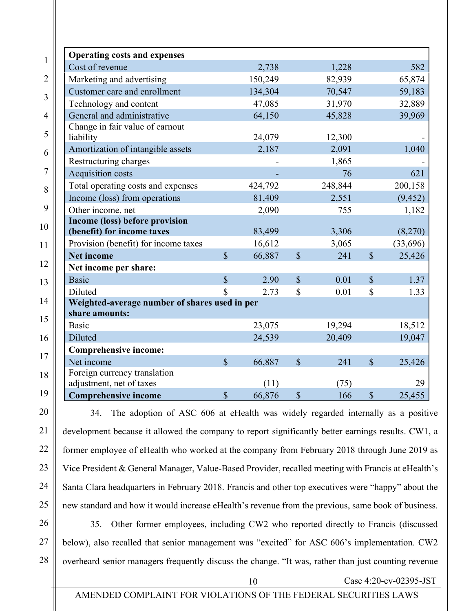| <b>Operating costs and expenses</b>           |                         |         |               |         |                           |          |
|-----------------------------------------------|-------------------------|---------|---------------|---------|---------------------------|----------|
| Cost of revenue                               |                         | 2,738   |               | 1,228   |                           | 582      |
| Marketing and advertising                     |                         | 150,249 |               | 82,939  |                           | 65,874   |
| Customer care and enrollment                  |                         | 134,304 |               | 70,547  |                           | 59,183   |
| Technology and content                        |                         | 47,085  |               | 31,970  |                           | 32,889   |
| General and administrative                    |                         | 64,150  |               | 45,828  |                           | 39,969   |
| Change in fair value of earnout               |                         |         |               |         |                           |          |
| liability                                     |                         | 24,079  |               | 12,300  |                           |          |
| Amortization of intangible assets             |                         | 2,187   |               | 2,091   |                           | 1,040    |
| Restructuring charges                         |                         |         |               | 1,865   |                           |          |
| Acquisition costs                             |                         |         |               | 76      |                           | 621      |
| Total operating costs and expenses            |                         | 424,792 |               | 248,844 |                           | 200,158  |
| Income (loss) from operations                 |                         | 81,409  |               | 2,551   |                           | (9, 452) |
| Other income, net                             |                         | 2,090   |               | 755     |                           | 1,182    |
| Income (loss) before provision                |                         |         |               |         |                           |          |
| (benefit) for income taxes                    |                         | 83,499  |               | 3,306   |                           | (8,270)  |
| Provision (benefit) for income taxes          |                         | 16,612  |               | 3,065   |                           | (33,696) |
| <b>Net income</b>                             | $\overline{\mathbb{S}}$ | 66,887  | $\mathcal{S}$ | 241     | $\mathbb{S}$              | 25,426   |
| Net income per share:                         |                         |         |               |         |                           |          |
| <b>Basic</b>                                  | $\mathbb{S}$            | 2.90    | $\mathbb{S}$  | 0.01    | $\mathbb{S}$              | 1.37     |
| Diluted                                       | \$                      | 2.73    | $\mathbb S$   | 0.01    | $\mathbb{S}$              | 1.33     |
| Weighted-average number of shares used in per |                         |         |               |         |                           |          |
| share amounts:                                |                         |         |               |         |                           |          |
| <b>Basic</b>                                  |                         | 23,075  |               | 19,294  |                           | 18,512   |
| Diluted                                       |                         | 24,539  |               | 20,409  |                           | 19,047   |
| <b>Comprehensive income:</b>                  |                         |         |               |         |                           |          |
| Net income                                    | $\mathbb{S}$            | 66,887  | $\mathbb{S}$  | 241     | $\mathbb{S}$              | 25,426   |
| Foreign currency translation                  |                         |         |               |         |                           |          |
| adjustment, net of taxes                      |                         | (11)    |               | (75)    |                           | 29       |
| <b>Comprehensive income</b>                   | $\mathbb{S}$            | 66,876  | $\mathbb{S}$  | 166     | $\boldsymbol{\mathsf{S}}$ | 25,455   |

2

3

4

5

6

7

8

9

10

11

12

13

14

15

16

17

18

19

20 21 22 23 24 25 26 34. The adoption of ASC 606 at eHealth was widely regarded internally as a positive development because it allowed the company to report significantly better earnings results. CW1, a former employee of eHealth who worked at the company from February 2018 through June 2019 as Vice President & General Manager, Value-Based Provider, recalled meeting with Francis at eHealth's Santa Clara headquarters in February 2018. Francis and other top executives were "happy" about the new standard and how it would increase eHealth's revenue from the previous, same book of business.

27 28 35. Other former employees, including CW2 who reported directly to Francis (discussed below), also recalled that senior management was "excited" for ASC 606's implementation. CW2 overheard senior managers frequently discuss the change. "It was, rather than just counting revenue

10 Case 4:20-cv-02395-JST

#### AMENDED COMPLAINT FOR VIOLATIONS OF THE FEDERAL SECURITIES LAWS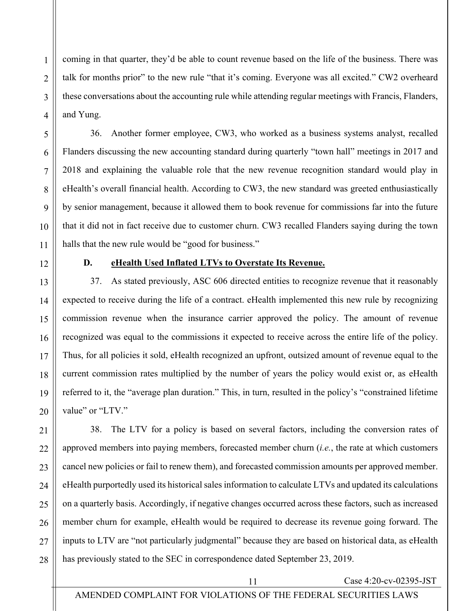coming in that quarter, they'd be able to count revenue based on the life of the business. There was talk for months prior" to the new rule "that it's coming. Everyone was all excited." CW2 overheard these conversations about the accounting rule while attending regular meetings with Francis, Flanders, and Yung.

36. Another former employee, CW3, who worked as a business systems analyst, recalled Flanders discussing the new accounting standard during quarterly "town hall" meetings in 2017 and 2018 and explaining the valuable role that the new revenue recognition standard would play in eHealth's overall financial health. According to CW3, the new standard was greeted enthusiastically by senior management, because it allowed them to book revenue for commissions far into the future that it did not in fact receive due to customer churn. CW3 recalled Flanders saying during the town halls that the new rule would be "good for business."

#### **D. eHealth Used Inflated LTVs to Overstate Its Revenue.**

37. As stated previously, ASC 606 directed entities to recognize revenue that it reasonably expected to receive during the life of a contract. eHealth implemented this new rule by recognizing commission revenue when the insurance carrier approved the policy. The amount of revenue recognized was equal to the commissions it expected to receive across the entire life of the policy. Thus, for all policies it sold, eHealth recognized an upfront, outsized amount of revenue equal to the current commission rates multiplied by the number of years the policy would exist or, as eHealth referred to it, the "average plan duration." This, in turn, resulted in the policy's "constrained lifetime value" or "LTV."

38. The LTV for a policy is based on several factors, including the conversion rates of approved members into paying members, forecasted member churn (*i.e.*, the rate at which customers cancel new policies or fail to renew them), and forecasted commission amounts per approved member. eHealth purportedly used its historical sales information to calculate LTVs and updated its calculations on a quarterly basis. Accordingly, if negative changes occurred across these factors, such as increased member churn for example, eHealth would be required to decrease its revenue going forward. The inputs to LTV are "not particularly judgmental" because they are based on historical data, as eHealth has previously stated to the SEC in correspondence dated September 23, 2019.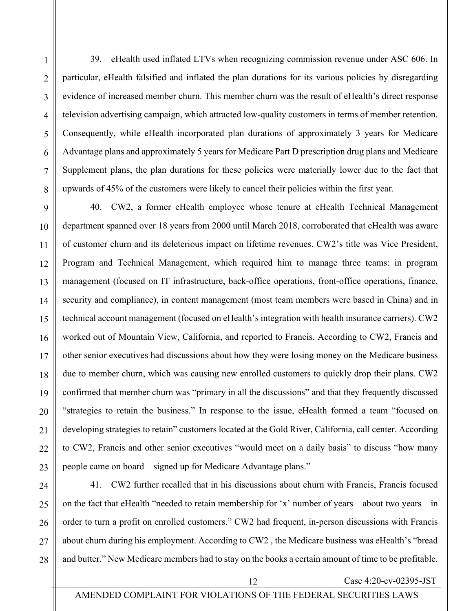39. eHealth used inflated LTVs when recognizing commission revenue under ASC 606. In particular, eHealth falsified and inflated the plan durations for its various policies by disregarding evidence of increased member churn. This member churn was the result of eHealth's direct response television advertising campaign, which attracted low-quality customers in terms of member retention. Consequently, while eHealth incorporated plan durations of approximately 3 years for Medicare Advantage plans and approximately 5 years for Medicare Part D prescription drug plans and Medicare Supplement plans, the plan durations for these policies were materially lower due to the fact that upwards of 45% of the customers were likely to cancel their policies within the first year.

40. CW2, a former eHealth employee whose tenure at eHealth Technical Management department spanned over 18 years from 2000 until March 2018, corroborated that eHealth was aware of customer churn and its deleterious impact on lifetime revenues. CW2's title was Vice President, Program and Technical Management, which required him to manage three teams: in program management (focused on IT infrastructure, back-office operations, front-office operations, finance, security and compliance), in content management (most team members were based in China) and in technical account management (focused on eHealth's integration with health insurance carriers). CW2 worked out of Mountain View, California, and reported to Francis. According to CW2, Francis and other senior executives had discussions about how they were losing money on the Medicare business due to member churn, which was causing new enrolled customers to quickly drop their plans. CW2 confirmed that member churn was "primary in all the discussions" and that they frequently discussed "strategies to retain the business." In response to the issue, eHealth formed a team "focused on developing strategies to retain" customers located at the Gold River, California, call center. According to CW2, Francis and other senior executives "would meet on a daily basis" to discuss "how many people came on board – signed up for Medicare Advantage plans."

41. CW2 further recalled that in his discussions about churn with Francis, Francis focused on the fact that eHealth "needed to retain membership for 'x' number of years—about two years—in order to turn a profit on enrolled customers." CW2 had frequent, in-person discussions with Francis about churn during his employment. According to CW2 , the Medicare business was eHealth's "bread and butter." New Medicare members had to stay on the books a certain amount of time to be profitable.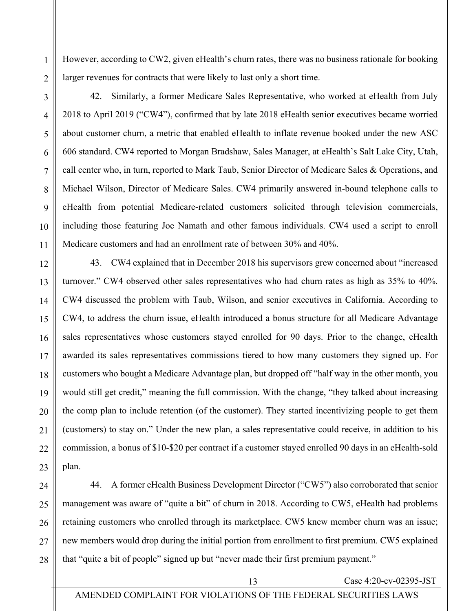However, according to CW2, given eHealth's churn rates, there was no business rationale for booking larger revenues for contracts that were likely to last only a short time.

42. Similarly, a former Medicare Sales Representative, who worked at eHealth from July 2018 to April 2019 ("CW4"), confirmed that by late 2018 eHealth senior executives became worried about customer churn, a metric that enabled eHealth to inflate revenue booked under the new ASC 606 standard. CW4 reported to Morgan Bradshaw, Sales Manager, at eHealth's Salt Lake City, Utah, call center who, in turn, reported to Mark Taub, Senior Director of Medicare Sales & Operations, and Michael Wilson, Director of Medicare Sales. CW4 primarily answered in-bound telephone calls to eHealth from potential Medicare-related customers solicited through television commercials, including those featuring Joe Namath and other famous individuals. CW4 used a script to enroll Medicare customers and had an enrollment rate of between 30% and 40%.

43. CW4 explained that in December 2018 his supervisors grew concerned about "increased turnover." CW4 observed other sales representatives who had churn rates as high as 35% to 40%. CW4 discussed the problem with Taub, Wilson, and senior executives in California. According to CW4, to address the churn issue, eHealth introduced a bonus structure for all Medicare Advantage sales representatives whose customers stayed enrolled for 90 days. Prior to the change, eHealth awarded its sales representatives commissions tiered to how many customers they signed up. For customers who bought a Medicare Advantage plan, but dropped off "half way in the other month, you would still get credit," meaning the full commission. With the change, "they talked about increasing the comp plan to include retention (of the customer). They started incentivizing people to get them (customers) to stay on." Under the new plan, a sales representative could receive, in addition to his commission, a bonus of \$10-\$20 per contract if a customer stayed enrolled 90 days in an eHealth-sold plan.

44. A former eHealth Business Development Director ("CW5") also corroborated that senior management was aware of "quite a bit" of churn in 2018. According to CW5, eHealth had problems retaining customers who enrolled through its marketplace. CW5 knew member churn was an issue; new members would drop during the initial portion from enrollment to first premium. CW5 explained that "quite a bit of people" signed up but "never made their first premium payment."

1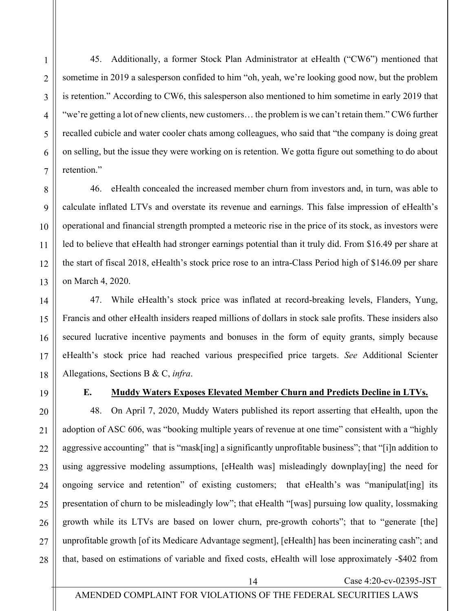45. Additionally, a former Stock Plan Administrator at eHealth ("CW6") mentioned that sometime in 2019 a salesperson confided to him "oh, yeah, we're looking good now, but the problem is retention." According to CW6, this salesperson also mentioned to him sometime in early 2019 that "we're getting a lot of new clients, new customers… the problem is we can't retain them." CW6 further recalled cubicle and water cooler chats among colleagues, who said that "the company is doing great on selling, but the issue they were working on is retention. We gotta figure out something to do about retention."

46. eHealth concealed the increased member churn from investors and, in turn, was able to calculate inflated LTVs and overstate its revenue and earnings. This false impression of eHealth's operational and financial strength prompted a meteoric rise in the price of its stock, as investors were led to believe that eHealth had stronger earnings potential than it truly did. From \$16.49 per share at the start of fiscal 2018, eHealth's stock price rose to an intra-Class Period high of \$146.09 per share on March 4, 2020.

47. While eHealth's stock price was inflated at record-breaking levels, Flanders, Yung, Francis and other eHealth insiders reaped millions of dollars in stock sale profits. These insiders also secured lucrative incentive payments and bonuses in the form of equity grants, simply because eHealth's stock price had reached various prespecified price targets. *See* Additional Scienter Allegations, Sections B & C, *infra*.

### **E. Muddy Waters Exposes Elevated Member Churn and Predicts Decline in LTVs.**

48. On April 7, 2020, Muddy Waters published its report asserting that eHealth, upon the adoption of ASC 606, was "booking multiple years of revenue at one time" consistent with a "highly aggressive accounting" that is "mask[ing] a significantly unprofitable business"; that "[i]n addition to using aggressive modeling assumptions, [eHealth was] misleadingly downplay[ing] the need for ongoing service and retention" of existing customers; that eHealth's was "manipulat[ing] its presentation of churn to be misleadingly low"; that eHealth "[was] pursuing low quality, lossmaking growth while its LTVs are based on lower churn, pre-growth cohorts"; that to "generate [the] unprofitable growth [of its Medicare Advantage segment], [eHealth] has been incinerating cash"; and that, based on estimations of variable and fixed costs, eHealth will lose approximately -\$402 from

1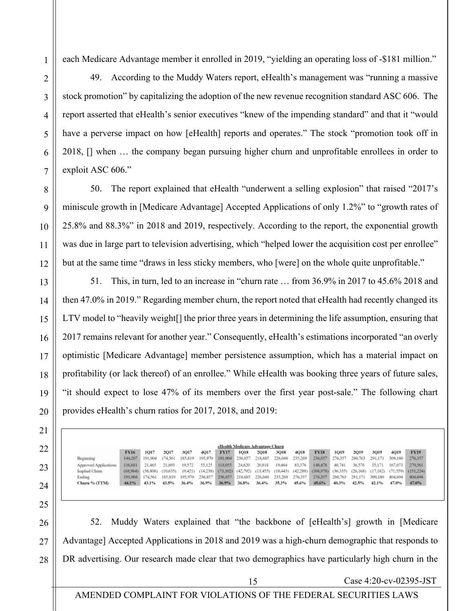each Medicare Advantage member it enrolled in 2019, "yielding an operating loss of -\$181 million."

49. According to the Muddy Waters report, eHealth's management was "running a massive stock promotion" by capitalizing the adoption of the new revenue recognition standard ASC 606. The report asserted that eHealth's senior executives "knew of the impending standard" and that it "would have a perverse impact on how [eHealth] reports and operates." The stock "promotion took off in 2018, [] when … the company began pursuing higher churn and unprofitable enrollees in order to exploit ASC 606."

50. The report explained that eHealth "underwent a selling explosion" that raised "2017's miniscule growth in [Medicare Advantage] Accepted Applications of only 1.2%" to "growth rates of 25.8% and 88.3%" in 2018 and 2019, respectively. According to the report, the exponential growth was due in large part to television advertising, which "helped lower the acquisition cost per enrollee" but at the same time "draws in less sticky members, who [were] on the whole quite unprofitable."

51. This, in turn, led to an increase in "churn rate … from 36.9% in 2017 to 45.6% 2018 and then 47.0% in 2019." Regarding member churn, the report noted that eHealth had recently changed its LTV model to "heavily weight[] the prior three years in determining the life assumption, ensuring that 2017 remains relevant for another year." Consequently, eHealth's estimations incorporated "an overly optimistic [Medicare Advantage] member persistence assumption, which has a material impact on profitability (or lack thereof) of an enrollee." While eHealth was booking three years of future sales, "it should expect to lose 47% of its members over the first year post-sale." The following chart provides eHealth's churn ratios for 2017, 2018, and 2019:

| eHealth Medicare Advantage Churn |             |                            |                 |         |         |                                         |                         |        |         |         |                                                                                                                       |         |                 |         |             |             |
|----------------------------------|-------------|----------------------------|-----------------|---------|---------|-----------------------------------------|-------------------------|--------|---------|---------|-----------------------------------------------------------------------------------------------------------------------|---------|-----------------|---------|-------------|-------------|
|                                  | <b>FY16</b> | 1017                       | 2017            | 3017    | 4017    | <b>FY17</b>                             | 1018                    | 2018   | 3018    | 4018    | <b>FY18</b>                                                                                                           | 1019    | 2019            | 3019    | <b>4019</b> | <b>FY19</b> |
| Beginning                        | 144,207     | 191.904 174.561            |                 | 185.819 | 195,970 |                                         | 191,904 236,857 218,685 |        | 226,048 | 235,269 | 236,857 276,357                                                                                                       |         | 280,763         | 291,171 | 309,180     | 276,357     |
| Approved Applications            | 116.681     | 21,465                     | 21,893          | 19.572  | 55,125  | 118,055                                 | 24,620                  | 20,818 | 19,664  | 83,376  | 148,478                                                                                                               | 40,741  | 36,576          | 35,171  | 167.073     | 279,561     |
| Implied Chum                     |             | (68,984) (38,808) (10,635) |                 |         |         |                                         |                         |        |         |         | (9,421) (14,238) (73,102) (42,792) (13,455) (10,443) (42,288) (108,978) (36,335) (26,168) (17,162) (71,559) (151,224) |         |                 |         |             |             |
| Ending                           | 191,904     |                            | 174,561 185,819 | 195.970 |         | 236,857 236,857 218,685 226,048 235,269 |                         |        |         | 276,357 | 276,357                                                                                                               | 280,763 | 291.171 309.180 |         | 404,694     | 404,694     |
| Churn % (TTM)                    | 44.1%       | 43.1%                      | 43.5%           | 36.4%   | 36.9%   | 36.9%                                   | 36.8%                   | 36.4%  | 35.3%   | 45.6%   | 45.6%                                                                                                                 | 40.3%   | 42.5%           | 42.1%   | 47.0%       | 47.0%       |

52. Muddy Waters explained that "the backbone of [eHealth's] growth in [Medicare Advantage] Accepted Applications in 2018 and 2019 was a high-churn demographic that responds to DR advertising. Our research made clear that two demographics have particularly high churn in the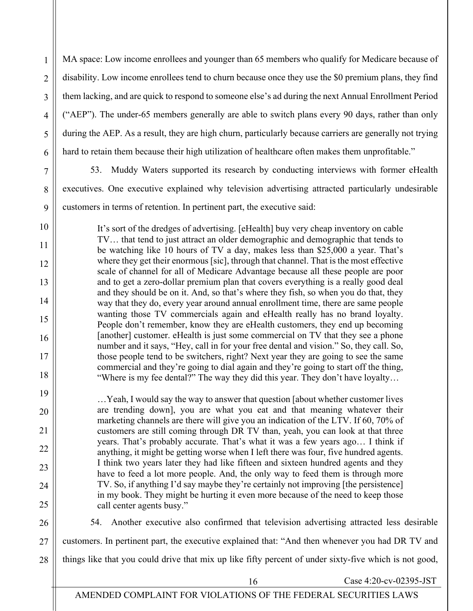MA space: Low income enrollees and younger than 65 members who qualify for Medicare because of disability. Low income enrollees tend to churn because once they use the \$0 premium plans, they find them lacking, and are quick to respond to someone else's ad during the next Annual Enrollment Period ("AEP"). The under-65 members generally are able to switch plans every 90 days, rather than only during the AEP. As a result, they are high churn, particularly because carriers are generally not trying hard to retain them because their high utilization of healthcare often makes them unprofitable."

1

2

3

4

5

6

7

8

9

10

11

12

13

14

15

16

17

18

19

20

21

22

23

24

25

53. Muddy Waters supported its research by conducting interviews with former eHealth executives. One executive explained why television advertising attracted particularly undesirable customers in terms of retention. In pertinent part, the executive said:

It's sort of the dredges of advertising. [eHealth] buy very cheap inventory on cable TV… that tend to just attract an older demographic and demographic that tends to be watching like 10 hours of TV a day, makes less than \$25,000 a year. That's where they get their enormous [sic], through that channel. That is the most effective scale of channel for all of Medicare Advantage because all these people are poor and to get a zero-dollar premium plan that covers everything is a really good deal and they should be on it. And, so that's where they fish, so when you do that, they way that they do, every year around annual enrollment time, there are same people wanting those TV commercials again and eHealth really has no brand loyalty. People don't remember, know they are eHealth customers, they end up becoming [another] customer. eHealth is just some commercial on TV that they see a phone number and it says, "Hey, call in for your free dental and vision." So, they call. So, those people tend to be switchers, right? Next year they are going to see the same commercial and they're going to dial again and they're going to start off the thing, "Where is my fee dental?" The way they did this year. They don't have loyalty…

…Yeah, I would say the way to answer that question [about whether customer lives are trending down], you are what you eat and that meaning whatever their marketing channels are there will give you an indication of the LTV. If 60, 70% of customers are still coming through DR TV than, yeah, you can look at that three years. That's probably accurate. That's what it was a few years ago… I think if anything, it might be getting worse when I left there was four, five hundred agents. I think two years later they had like fifteen and sixteen hundred agents and they have to feed a lot more people. And, the only way to feed them is through more TV. So, if anything I'd say maybe they're certainly not improving [the persistence] in my book. They might be hurting it even more because of the need to keep those call center agents busy."

26 27 28 54. Another executive also confirmed that television advertising attracted less desirable customers. In pertinent part, the executive explained that: "And then whenever you had DR TV and things like that you could drive that mix up like fifty percent of under sixty-five which is not good,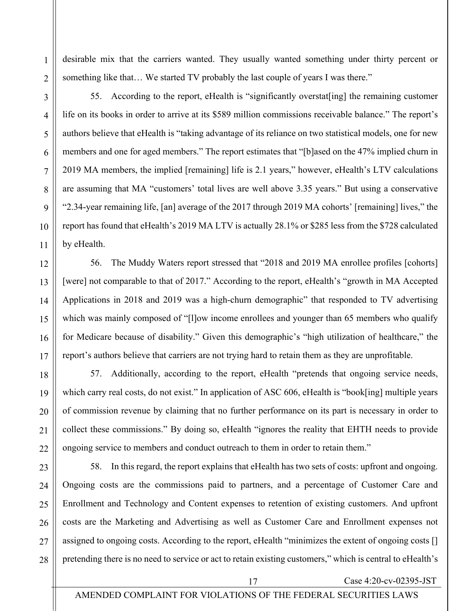desirable mix that the carriers wanted. They usually wanted something under thirty percent or something like that… We started TV probably the last couple of years I was there."

55. According to the report, eHealth is "significantly overstat[ing] the remaining customer life on its books in order to arrive at its \$589 million commissions receivable balance." The report's authors believe that eHealth is "taking advantage of its reliance on two statistical models, one for new members and one for aged members." The report estimates that "[b]ased on the 47% implied churn in 2019 MA members, the implied [remaining] life is 2.1 years," however, eHealth's LTV calculations are assuming that MA "customers' total lives are well above 3.35 years." But using a conservative "2.34-year remaining life, [an] average of the 2017 through 2019 MA cohorts' [remaining] lives," the report has found that eHealth's 2019 MA LTV is actually 28.1% or \$285 less from the \$728 calculated by eHealth.

56. The Muddy Waters report stressed that "2018 and 2019 MA enrollee profiles [cohorts] [were] not comparable to that of 2017." According to the report, eHealth's "growth in MA Accepted Applications in 2018 and 2019 was a high-churn demographic" that responded to TV advertising which was mainly composed of "[l]ow income enrollees and younger than 65 members who qualify for Medicare because of disability." Given this demographic's "high utilization of healthcare," the report's authors believe that carriers are not trying hard to retain them as they are unprofitable.

57. Additionally, according to the report, eHealth "pretends that ongoing service needs, which carry real costs, do not exist." In application of ASC 606, eHealth is "book[ing] multiple years of commission revenue by claiming that no further performance on its part is necessary in order to collect these commissions." By doing so, eHealth "ignores the reality that EHTH needs to provide ongoing service to members and conduct outreach to them in order to retain them."

58. In this regard, the report explains that eHealth has two sets of costs: upfront and ongoing. Ongoing costs are the commissions paid to partners, and a percentage of Customer Care and Enrollment and Technology and Content expenses to retention of existing customers. And upfront costs are the Marketing and Advertising as well as Customer Care and Enrollment expenses not assigned to ongoing costs. According to the report, eHealth "minimizes the extent of ongoing costs [] pretending there is no need to service or act to retain existing customers," which is central to eHealth's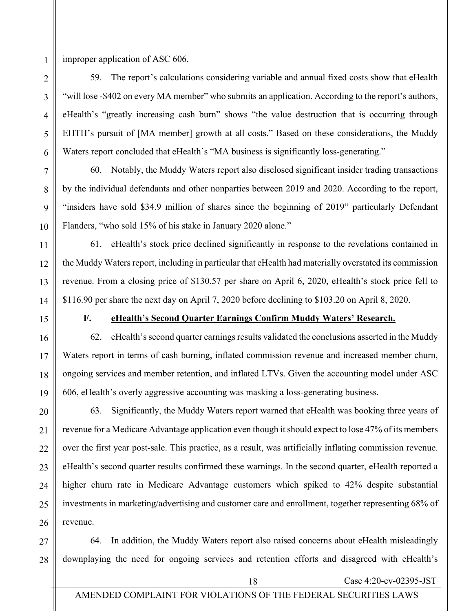25

26

1

improper application of ASC 606.

59. The report's calculations considering variable and annual fixed costs show that eHealth "will lose -\$402 on every MA member" who submits an application. According to the report's authors, eHealth's "greatly increasing cash burn" shows "the value destruction that is occurring through EHTH's pursuit of [MA member] growth at all costs." Based on these considerations, the Muddy Waters report concluded that eHealth's "MA business is significantly loss-generating."

60. Notably, the Muddy Waters report also disclosed significant insider trading transactions by the individual defendants and other nonparties between 2019 and 2020. According to the report, "insiders have sold \$34.9 million of shares since the beginning of 2019" particularly Defendant Flanders, "who sold 15% of his stake in January 2020 alone."

61. eHealth's stock price declined significantly in response to the revelations contained in the Muddy Waters report, including in particular that eHealth had materially overstated its commission revenue. From a closing price of \$130.57 per share on April 6, 2020, eHealth's stock price fell to \$116.90 per share the next day on April 7, 2020 before declining to \$103.20 on April 8, 2020.

# **F. eHealth's Second Quarter Earnings Confirm Muddy Waters' Research.**

62. eHealth's second quarter earnings results validated the conclusions asserted in the Muddy Waters report in terms of cash burning, inflated commission revenue and increased member churn, ongoing services and member retention, and inflated LTVs. Given the accounting model under ASC 606, eHealth's overly aggressive accounting was masking a loss-generating business.

63. Significantly, the Muddy Waters report warned that eHealth was booking three years of revenue for a Medicare Advantage application even though it should expect to lose 47% of its members over the first year post-sale. This practice, as a result, was artificially inflating commission revenue. eHealth's second quarter results confirmed these warnings. In the second quarter, eHealth reported a higher churn rate in Medicare Advantage customers which spiked to 42% despite substantial investments in marketing/advertising and customer care and enrollment, together representing 68% of revenue.

27 28 64. In addition, the Muddy Waters report also raised concerns about eHealth misleadingly downplaying the need for ongoing services and retention efforts and disagreed with eHealth's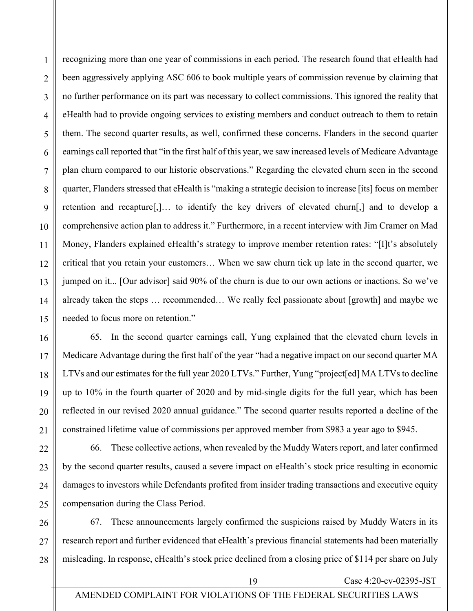recognizing more than one year of commissions in each period. The research found that eHealth had been aggressively applying ASC 606 to book multiple years of commission revenue by claiming that no further performance on its part was necessary to collect commissions. This ignored the reality that eHealth had to provide ongoing services to existing members and conduct outreach to them to retain them. The second quarter results, as well, confirmed these concerns. Flanders in the second quarter earnings call reported that "in the first half of this year, we saw increased levels of Medicare Advantage plan churn compared to our historic observations." Regarding the elevated churn seen in the second quarter, Flanders stressed that eHealth is "making a strategic decision to increase [its] focus on member retention and recapture[,]… to identify the key drivers of elevated churn[,] and to develop a comprehensive action plan to address it." Furthermore, in a recent interview with Jim Cramer on Mad Money, Flanders explained eHealth's strategy to improve member retention rates: "[I]t's absolutely critical that you retain your customers… When we saw churn tick up late in the second quarter, we jumped on it... [Our advisor] said 90% of the churn is due to our own actions or inactions. So we've already taken the steps … recommended… We really feel passionate about [growth] and maybe we needed to focus more on retention."

65. In the second quarter earnings call, Yung explained that the elevated churn levels in Medicare Advantage during the first half of the year "had a negative impact on our second quarter MA LTVs and our estimates for the full year 2020 LTVs." Further, Yung "project[ed] MA LTVs to decline up to 10% in the fourth quarter of 2020 and by mid-single digits for the full year, which has been reflected in our revised 2020 annual guidance." The second quarter results reported a decline of the constrained lifetime value of commissions per approved member from \$983 a year ago to \$945.

66. These collective actions, when revealed by the Muddy Waters report, and later confirmed by the second quarter results, caused a severe impact on eHealth's stock price resulting in economic damages to investors while Defendants profited from insider trading transactions and executive equity compensation during the Class Period.

27 28 67. These announcements largely confirmed the suspicions raised by Muddy Waters in its research report and further evidenced that eHealth's previous financial statements had been materially misleading. In response, eHealth's stock price declined from a closing price of \$114 per share on July

1

2

3

4

5

6

7

8

9

10

11

12

13

14

15

16

17

18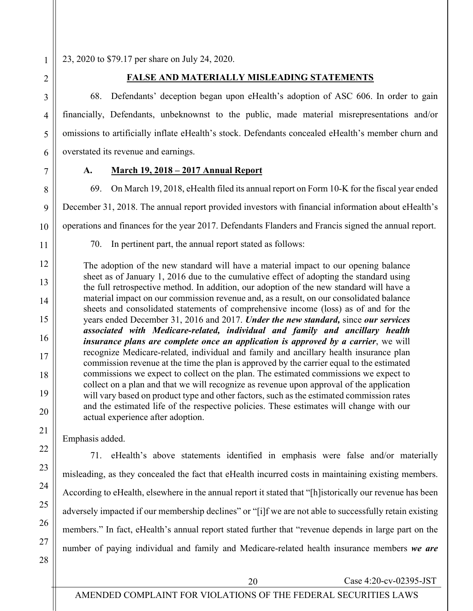23, 2020 to \$79.17 per share on July 24, 2020.

1

2

3

4

5

6

7

8

9

10

11

12

13

14

15

16

17

18

19

### **FALSE AND MATERIALLY MISLEADING STATEMENTS**

68. Defendants' deception began upon eHealth's adoption of ASC 606. In order to gain financially, Defendants, unbeknownst to the public, made material misrepresentations and/or omissions to artificially inflate eHealth's stock. Defendants concealed eHealth's member churn and overstated its revenue and earnings.

# **A. March 19, 2018 – 2017 Annual Report**

69. On March 19, 2018, eHealth filed its annual report on Form 10-K for the fiscal year ended December 31, 2018. The annual report provided investors with financial information about eHealth's operations and finances for the year 2017. Defendants Flanders and Francis signed the annual report.

70. In pertinent part, the annual report stated as follows:

The adoption of the new standard will have a material impact to our opening balance sheet as of January 1, 2016 due to the cumulative effect of adopting the standard using the full retrospective method. In addition, our adoption of the new standard will have a material impact on our commission revenue and, as a result, on our consolidated balance sheets and consolidated statements of comprehensive income (loss) as of and for the years ended December 31, 2016 and 2017. *Under the new standard,* since *our services associated with Medicare-related, individual and family and ancillary health insurance plans are complete once an application is approved by a carrier*, we will recognize Medicare-related, individual and family and ancillary health insurance plan commission revenue at the time the plan is approved by the carrier equal to the estimated commissions we expect to collect on the plan. The estimated commissions we expect to collect on a plan and that we will recognize as revenue upon approval of the application will vary based on product type and other factors, such as the estimated commission rates and the estimated life of the respective policies. These estimates will change with our actual experience after adoption.

Emphasis added.

28

71. eHealth's above statements identified in emphasis were false and/or materially misleading, as they concealed the fact that eHealth incurred costs in maintaining existing members. According to eHealth, elsewhere in the annual report it stated that "[h]istorically our revenue has been adversely impacted if our membership declines" or "[i]f we are not able to successfully retain existing members." In fact, eHealth's annual report stated further that "revenue depends in large part on the number of paying individual and family and Medicare-related health insurance members *we are*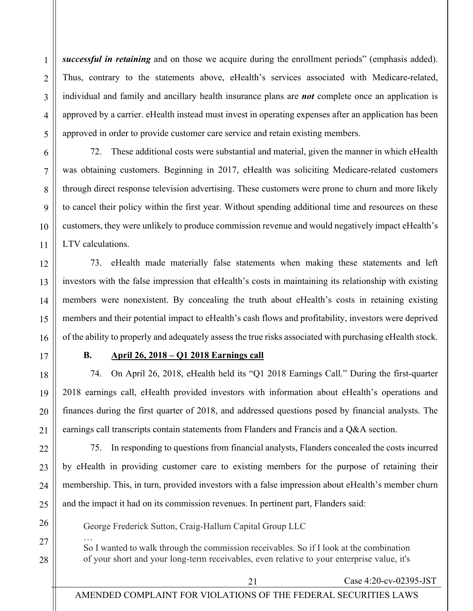1

2

*successful in retaining* and on those we acquire during the enrollment periods" (emphasis added). Thus, contrary to the statements above, eHealth's services associated with Medicare-related, individual and family and ancillary health insurance plans are *not* complete once an application is approved by a carrier. eHealth instead must invest in operating expenses after an application has been approved in order to provide customer care service and retain existing members.

72. These additional costs were substantial and material, given the manner in which eHealth was obtaining customers. Beginning in 2017, eHealth was soliciting Medicare-related customers through direct response television advertising. These customers were prone to churn and more likely to cancel their policy within the first year. Without spending additional time and resources on these customers, they were unlikely to produce commission revenue and would negatively impact eHealth's LTV calculations.

73. eHealth made materially false statements when making these statements and left investors with the false impression that eHealth's costs in maintaining its relationship with existing members were nonexistent. By concealing the truth about eHealth's costs in retaining existing members and their potential impact to eHealth's cash flows and profitability, investors were deprived of the ability to properly and adequately assess the true risks associated with purchasing eHealth stock.

# **B. April 26, 2018 – Q1 2018 Earnings call**

74. On April 26, 2018, eHealth held its "Q1 2018 Earnings Call." During the first-quarter 2018 earnings call, eHealth provided investors with information about eHealth's operations and finances during the first quarter of 2018, and addressed questions posed by financial analysts. The earnings call transcripts contain statements from Flanders and Francis and a Q&A section.

75. In responding to questions from financial analysts, Flanders concealed the costs incurred by eHealth in providing customer care to existing members for the purpose of retaining their membership. This, in turn, provided investors with a false impression about eHealth's member churn and the impact it had on its commission revenues. In pertinent part, Flanders said:

George Frederick Sutton, Craig-Hallum Capital Group LLC

… So I wanted to walk through the commission receivables. So if I look at the combination of your short and your long-term receivables, even relative to your enterprise value, it's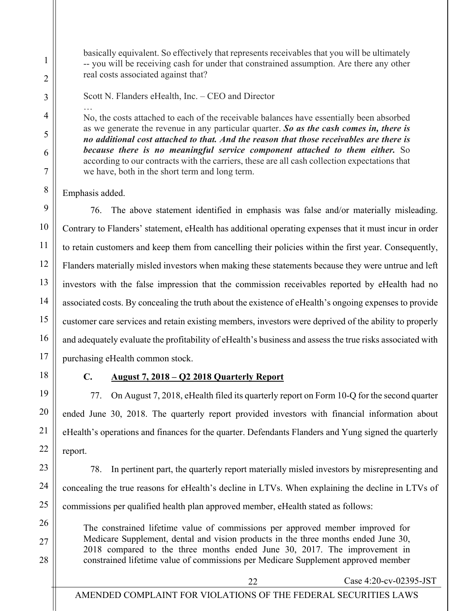basically equivalent. So effectively that represents receivables that you will be ultimately -- you will be receiving cash for under that constrained assumption. Are there any other real costs associated against that?

Scott N. Flanders eHealth, Inc. – CEO and Director

… No, the costs attached to each of the receivable balances have essentially been absorbed as we generate the revenue in any particular quarter. *So as the cash comes in, there is no additional cost attached to that. And the reason that those receivables are there is because there is no meaningful service component attached to them either.* So according to our contracts with the carriers, these are all cash collection expectations that we have, both in the short term and long term.

Emphasis added.

1

2

3

4

5

6

7

8

9

10

11

12

13

14

15

16

17

18

19

20

21

22

23

24

25

26

27

28

76. The above statement identified in emphasis was false and/or materially misleading. Contrary to Flanders' statement, eHealth has additional operating expenses that it must incur in order to retain customers and keep them from cancelling their policies within the first year. Consequently, Flanders materially misled investors when making these statements because they were untrue and left investors with the false impression that the commission receivables reported by eHealth had no associated costs. By concealing the truth about the existence of eHealth's ongoing expenses to provide customer care services and retain existing members, investors were deprived of the ability to properly and adequately evaluate the profitability of eHealth's business and assess the true risks associated with purchasing eHealth common stock.

# **C. August 7, 2018 – Q2 2018 Quarterly Report**

77. On August 7, 2018, eHealth filed its quarterly report on Form 10-Q for the second quarter ended June 30, 2018. The quarterly report provided investors with financial information about eHealth's operations and finances for the quarter. Defendants Flanders and Yung signed the quarterly report.

78. In pertinent part, the quarterly report materially misled investors by misrepresenting and concealing the true reasons for eHealth's decline in LTVs. When explaining the decline in LTVs of commissions per qualified health plan approved member, eHealth stated as follows:

The constrained lifetime value of commissions per approved member improved for Medicare Supplement, dental and vision products in the three months ended June 30, 2018 compared to the three months ended June 30, 2017. The improvement in constrained lifetime value of commissions per Medicare Supplement approved member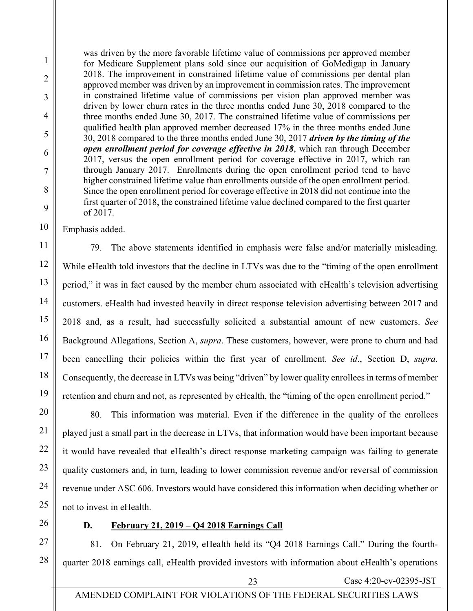was driven by the more favorable lifetime value of commissions per approved member for Medicare Supplement plans sold since our acquisition of GoMedigap in January 2018. The improvement in constrained lifetime value of commissions per dental plan approved member was driven by an improvement in commission rates. The improvement in constrained lifetime value of commissions per vision plan approved member was driven by lower churn rates in the three months ended June 30, 2018 compared to the three months ended June 30, 2017. The constrained lifetime value of commissions per qualified health plan approved member decreased 17% in the three months ended June 30, 2018 compared to the three months ended June 30, 2017 *driven by the timing of the open enrollment period for coverage effective in 2018*, which ran through December 2017, versus the open enrollment period for coverage effective in 2017, which ran through January 2017. Enrollments during the open enrollment period tend to have higher constrained lifetime value than enrollments outside of the open enrollment period. Since the open enrollment period for coverage effective in 2018 did not continue into the first quarter of 2018, the constrained lifetime value declined compared to the first quarter of 2017.

Emphasis added.

1

2

3

4

5

6

7

8

9

10

11

12

13

14

15

16

17

18

19

20

21

22

23

24

25

26

27

28

79. The above statements identified in emphasis were false and/or materially misleading. While eHealth told investors that the decline in LTVs was due to the "timing of the open enrollment period," it was in fact caused by the member churn associated with eHealth's television advertising customers. eHealth had invested heavily in direct response television advertising between 2017 and 2018 and, as a result, had successfully solicited a substantial amount of new customers. *See* Background Allegations, Section A, *supra*. These customers, however, were prone to churn and had been cancelling their policies within the first year of enrollment. *See id*., Section D, *supra*. Consequently, the decrease in LTVs was being "driven" by lower quality enrollees in terms of member retention and churn and not, as represented by eHealth, the "timing of the open enrollment period."

80. This information was material. Even if the difference in the quality of the enrollees played just a small part in the decrease in LTVs, that information would have been important because it would have revealed that eHealth's direct response marketing campaign was failing to generate quality customers and, in turn, leading to lower commission revenue and/or reversal of commission revenue under ASC 606. Investors would have considered this information when deciding whether or not to invest in eHealth.

**D. February 21, 2019 – Q4 2018 Earnings Call**

81. On February 21, 2019, eHealth held its "Q4 2018 Earnings Call." During the fourthquarter 2018 earnings call, eHealth provided investors with information about eHealth's operations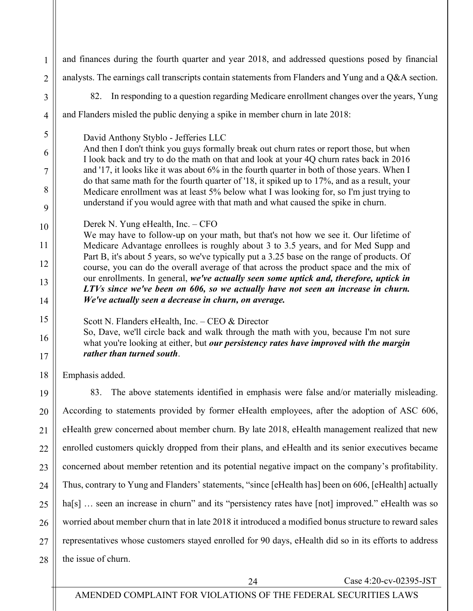1 2 3 4 5 6 7 8 9 10 11 12 13 14 15 16 17 18 19 20 21 22 23 24 25 26 27 28 and finances during the fourth quarter and year 2018, and addressed questions posed by financial analysts. The earnings call transcripts contain statements from Flanders and Yung and a Q&A section. 82. In responding to a question regarding Medicare enrollment changes over the years, Yung and Flanders misled the public denying a spike in member churn in late 2018: David Anthony Styblo - Jefferies LLC And then I don't think you guys formally break out churn rates or report those, but when I look back and try to do the math on that and look at your 4Q churn rates back in 2016 and '17, it looks like it was about 6% in the fourth quarter in both of those years. When I do that same math for the fourth quarter of '18, it spiked up to 17%, and as a result, your Medicare enrollment was at least 5% below what I was looking for, so I'm just trying to understand if you would agree with that math and what caused the spike in churn. Derek N. Yung eHealth, Inc. – CFO We may have to follow-up on your math, but that's not how we see it. Our lifetime of Medicare Advantage enrollees is roughly about 3 to 3.5 years, and for Med Supp and Part B, it's about 5 years, so we've typically put a 3.25 base on the range of products. Of course, you can do the overall average of that across the product space and the mix of our enrollments. In general, *we've actually seen some uptick and, therefore, uptick in LTVs since we've been on 606, so we actually have not seen an increase in churn. We've actually seen a decrease in churn, on average.*  Scott N. Flanders eHealth, Inc. – CEO & Director So, Dave, we'll circle back and walk through the math with you, because I'm not sure what you're looking at either, but *our persistency rates have improved with the margin rather than turned south*. Emphasis added. 83. The above statements identified in emphasis were false and/or materially misleading. According to statements provided by former eHealth employees, after the adoption of ASC 606, eHealth grew concerned about member churn. By late 2018, eHealth management realized that new enrolled customers quickly dropped from their plans, and eHealth and its senior executives became concerned about member retention and its potential negative impact on the company's profitability. Thus, contrary to Yung and Flanders' statements, "since [eHealth has] been on 606, [eHealth] actually ha[s] ... seen an increase in churn" and its "persistency rates have [not] improved." eHealth was so worried about member churn that in late 2018 it introduced a modified bonus structure to reward sales representatives whose customers stayed enrolled for 90 days, eHealth did so in its efforts to address the issue of churn.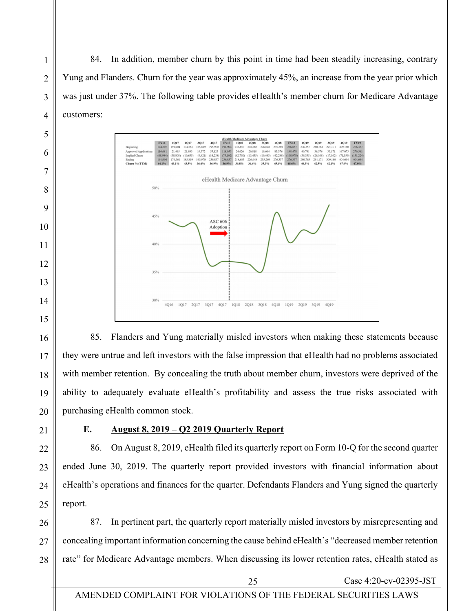84. In addition, member churn by this point in time had been steadily increasing, contrary Yung and Flanders. Churn for the year was approximately 45%, an increase from the year prior which was just under 37%. The following table provides eHealth's member churn for Medicare Advantage customers:



85. Flanders and Yung materially misled investors when making these statements because they were untrue and left investors with the false impression that eHealth had no problems associated with member retention. By concealing the truth about member churn, investors were deprived of the ability to adequately evaluate eHealth's profitability and assess the true risks associated with purchasing eHealth common stock.

# **E. August 8, 2019 – Q2 2019 Quarterly Report**

86. On August 8, 2019, eHealth filed its quarterly report on Form 10-Q for the second quarter ended June 30, 2019. The quarterly report provided investors with financial information about eHealth's operations and finances for the quarter. Defendants Flanders and Yung signed the quarterly report.

87. In pertinent part, the quarterly report materially misled investors by misrepresenting and concealing important information concerning the cause behind eHealth's "decreased member retention rate" for Medicare Advantage members. When discussing its lower retention rates, eHealth stated as

1

2

3

4

5

6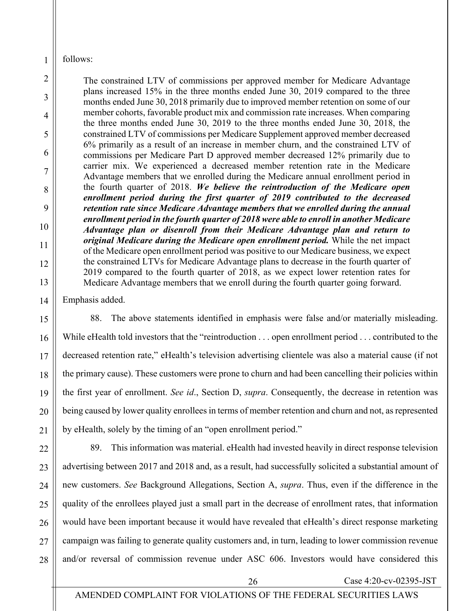follows:

1

2

3

4

5

6

7

8

9

10

11

12

13

14

16

17

19

20

21

The constrained LTV of commissions per approved member for Medicare Advantage plans increased 15% in the three months ended June 30, 2019 compared to the three months ended June 30, 2018 primarily due to improved member retention on some of our member cohorts, favorable product mix and commission rate increases. When comparing the three months ended June 30, 2019 to the three months ended June 30, 2018, the constrained LTV of commissions per Medicare Supplement approved member decreased 6% primarily as a result of an increase in member churn, and the constrained LTV of commissions per Medicare Part D approved member decreased 12% primarily due to carrier mix. We experienced a decreased member retention rate in the Medicare Advantage members that we enrolled during the Medicare annual enrollment period in the fourth quarter of 2018. *We believe the reintroduction of the Medicare open enrollment period during the first quarter of 2019 contributed to the decreased retention rate since Medicare Advantage members that we enrolled during the annual enrollment period in the fourth quarter of 2018 were able to enroll in another Medicare Advantage plan or disenroll from their Medicare Advantage plan and return to original Medicare during the Medicare open enrollment period.* While the net impact of the Medicare open enrollment period was positive to our Medicare business, we expect the constrained LTVs for Medicare Advantage plans to decrease in the fourth quarter of 2019 compared to the fourth quarter of 2018, as we expect lower retention rates for Medicare Advantage members that we enroll during the fourth quarter going forward.

Emphasis added.

15 18 88. The above statements identified in emphasis were false and/or materially misleading. While eHealth told investors that the "reintroduction . . . open enrollment period . . . contributed to the decreased retention rate," eHealth's television advertising clientele was also a material cause (if not the primary cause). These customers were prone to churn and had been cancelling their policies within the first year of enrollment. *See id*., Section D, *supra*. Consequently, the decrease in retention was being caused by lower quality enrollees in terms of member retention and churn and not, as represented by eHealth, solely by the timing of an "open enrollment period."

22 23 24 25 26 27 28 89. This information was material. eHealth had invested heavily in direct response television advertising between 2017 and 2018 and, as a result, had successfully solicited a substantial amount of new customers. *See* Background Allegations, Section A, *supra*. Thus, even if the difference in the quality of the enrollees played just a small part in the decrease of enrollment rates, that information would have been important because it would have revealed that eHealth's direct response marketing campaign was failing to generate quality customers and, in turn, leading to lower commission revenue and/or reversal of commission revenue under ASC 606. Investors would have considered this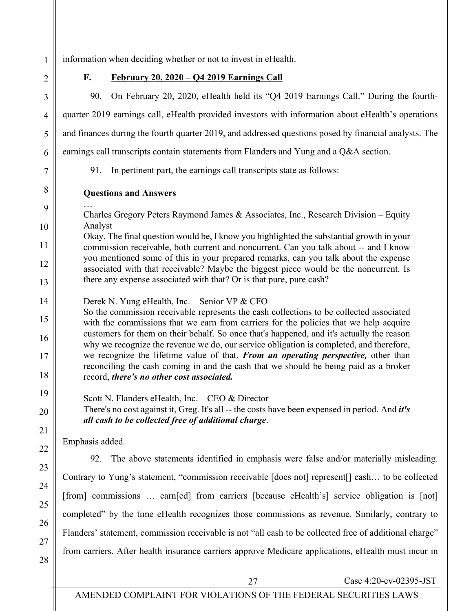information when deciding whether or not to invest in eHealth.

1

2

3

4

5

6

7

8

9

10

11

12

13

**F. February 20, 2020 – Q4 2019 Earnings Call**

90. On February 20, 2020, eHealth held its "Q4 2019 Earnings Call." During the fourthquarter 2019 earnings call, eHealth provided investors with information about eHealth's operations and finances during the fourth quarter 2019, and addressed questions posed by financial analysts. The

earnings call transcripts contain statements from Flanders and Yung and a Q&A section.

…

91. In pertinent part, the earnings call transcripts state as follows:

**Questions and Answers** 

Charles Gregory Peters Raymond James & Associates, Inc., Research Division – Equity Analyst

Okay. The final question would be, I know you highlighted the substantial growth in your commission receivable, both current and noncurrent. Can you talk about -- and I know you mentioned some of this in your prepared remarks, can you talk about the expense associated with that receivable? Maybe the biggest piece would be the noncurrent. Is there any expense associated with that? Or is that pure, pure cash?

14 Derek N. Yung eHealth, Inc. – Senior VP & CFO

15 16 17 18 So the commission receivable represents the cash collections to be collected associated with the commissions that we earn from carriers for the policies that we help acquire customers for them on their behalf. So once that's happened, and it's actually the reason why we recognize the revenue we do, our service obligation is completed, and therefore, we recognize the lifetime value of that. *From an operating perspective,* other than reconciling the cash coming in and the cash that we should be being paid as a broker record, *there's no other cost associated.*

Scott N. Flanders eHealth, Inc. – CEO & Director There's no cost against it, Greg. It's all -- the costs have been expensed in period. And *it's all cash to be collected free of additional charge*.

Emphasis added.

26

27

28

19

20

21

92. The above statements identified in emphasis were false and/or materially misleading. Contrary to Yung's statement, "commission receivable [does not] represent[] cash… to be collected [from] commissions … earn[ed] from carriers [because eHealth's] service obligation is [not] completed" by the time eHealth recognizes those commissions as revenue. Similarly, contrary to Flanders' statement, commission receivable is not "all cash to be collected free of additional charge" from carriers. After health insurance carriers approve Medicare applications, eHealth must incur in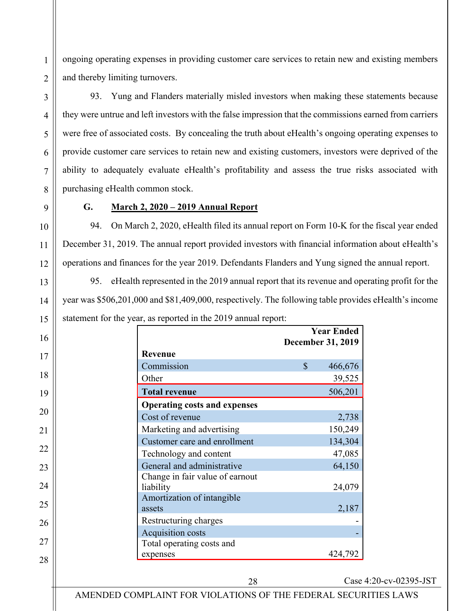ongoing operating expenses in providing customer care services to retain new and existing members and thereby limiting turnovers.

93. Yung and Flanders materially misled investors when making these statements because they were untrue and left investors with the false impression that the commissions earned from carriers were free of associated costs. By concealing the truth about eHealth's ongoing operating expenses to provide customer care services to retain new and existing customers, investors were deprived of the ability to adequately evaluate eHealth's profitability and assess the true risks associated with purchasing eHealth common stock.

1

2

### **G. March 2, 2020 – 2019 Annual Report**

94. On March 2, 2020, eHealth filed its annual report on Form 10-K for the fiscal year ended December 31, 2019. The annual report provided investors with financial information about eHealth's operations and finances for the year 2019. Defendants Flanders and Yung signed the annual report.

95. eHealth represented in the 2019 annual report that its revenue and operating profit for the year was \$506,201,000 and \$81,409,000, respectively. The following table provides eHealth's income statement for the year, as reported in the 2019 annual report:

| 16 |                                              | <b>December 31, 2019</b> | <b>Year Ended</b> |
|----|----------------------------------------------|--------------------------|-------------------|
| 17 | Revenue                                      |                          |                   |
|    | Commission                                   | $\mathbb{S}$             | 466,676           |
| 18 | Other                                        |                          | 39,525            |
| 19 | <b>Total revenue</b>                         |                          | 506,201           |
|    | <b>Operating costs and expenses</b>          |                          |                   |
| 20 | Cost of revenue                              |                          | 2,738             |
| 21 | Marketing and advertising                    |                          | 150,249           |
|    | Customer care and enrollment                 |                          | 134,304           |
| 22 | Technology and content                       |                          | 47,085            |
| 23 | General and administrative                   |                          | 64,150            |
| 24 | Change in fair value of earnout<br>liability |                          | 24,079            |
| 25 | Amortization of intangible<br>assets         |                          | 2,187             |
| 26 | Restructuring charges                        |                          |                   |
|    | <b>Acquisition costs</b>                     |                          |                   |
| 27 | Total operating costs and                    |                          |                   |
| 28 | expenses                                     |                          | 424,792           |
|    |                                              |                          |                   |
|    |                                              |                          |                   |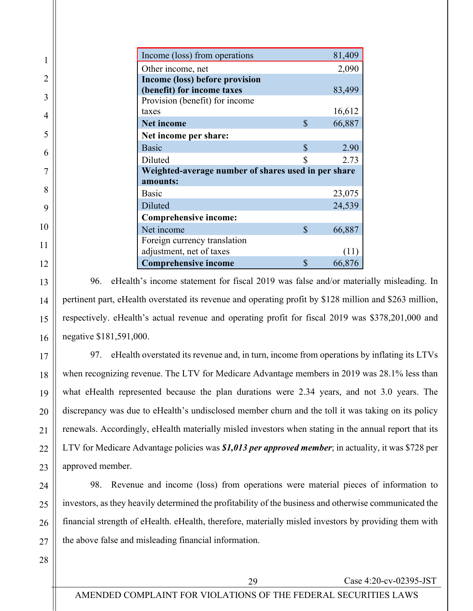| Income (loss) from operations                       |               | 81,409 |  |  |  |  |  |
|-----------------------------------------------------|---------------|--------|--|--|--|--|--|
| Other income, net                                   |               | 2,090  |  |  |  |  |  |
| Income (loss) before provision                      |               |        |  |  |  |  |  |
| (benefit) for income taxes                          |               | 83,499 |  |  |  |  |  |
| Provision (benefit) for income                      |               |        |  |  |  |  |  |
| taxes                                               |               | 16,612 |  |  |  |  |  |
| <b>Net income</b>                                   | $\mathcal{S}$ | 66,887 |  |  |  |  |  |
| Net income per share:                               |               |        |  |  |  |  |  |
| <b>Basic</b>                                        | \$            | 2.90   |  |  |  |  |  |
| Diluted                                             |               | 2.73   |  |  |  |  |  |
| Weighted-average number of shares used in per share |               |        |  |  |  |  |  |
| amounts:                                            |               |        |  |  |  |  |  |
| Basic                                               |               | 23,075 |  |  |  |  |  |
| Diluted                                             |               | 24,539 |  |  |  |  |  |
| Comprehensive income:                               |               |        |  |  |  |  |  |
| Net income                                          | $\mathcal{S}$ | 66,887 |  |  |  |  |  |
| Foreign currency translation                        |               |        |  |  |  |  |  |
| adjustment, net of taxes                            |               |        |  |  |  |  |  |
| <b>Comprehensive income</b>                         | \$            | 66,876 |  |  |  |  |  |

96. eHealth's income statement for fiscal 2019 was false and/or materially misleading. In pertinent part, eHealth overstated its revenue and operating profit by \$128 million and \$263 million, respectively. eHealth's actual revenue and operating profit for fiscal 2019 was \$378,201,000 and negative \$181,591,000.

97. eHealth overstated its revenue and, in turn, income from operations by inflating its LTVs when recognizing revenue. The LTV for Medicare Advantage members in 2019 was 28.1% less than what eHealth represented because the plan durations were 2.34 years, and not 3.0 years. The discrepancy was due to eHealth's undisclosed member churn and the toll it was taking on its policy renewals. Accordingly, eHealth materially misled investors when stating in the annual report that its LTV for Medicare Advantage policies was *\$1,013 per approved member*; in actuality, it was \$728 per approved member.

98. Revenue and income (loss) from operations were material pieces of information to investors, as they heavily determined the profitability of the business and otherwise communicated the financial strength of eHealth. eHealth, therefore, materially misled investors by providing them with the above false and misleading financial information.

28

1

2

3

4

5

6

7

8

9

10

11

12

13

14

15

16

17

18

19

20

21

22

23

24

25

26

27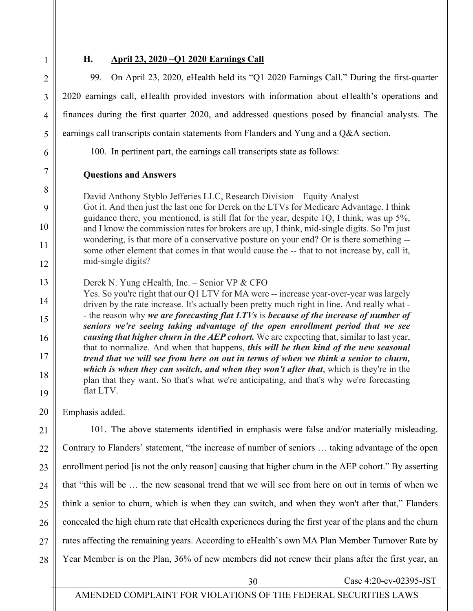2

3

4

5

6

7

8

9

10

11

12

20

#### **H. April 23, 2020 –Q1 2020 Earnings Call**

99. On April 23, 2020, eHealth held its "Q1 2020 Earnings Call." During the first-quarter 2020 earnings call, eHealth provided investors with information about eHealth's operations and finances during the first quarter 2020, and addressed questions posed by financial analysts. The earnings call transcripts contain statements from Flanders and Yung and a Q&A section.

100. In pertinent part, the earnings call transcripts state as follows:

#### **Questions and Answers**

David Anthony Styblo Jefferies LLC, Research Division – Equity Analyst Got it. And then just the last one for Derek on the LTVs for Medicare Advantage. I think guidance there, you mentioned, is still flat for the year, despite 1Q, I think, was up 5%, and I know the commission rates for brokers are up, I think, mid-single digits. So I'm just wondering, is that more of a conservative posture on your end? Or is there something - some other element that comes in that would cause the -- that to not increase by, call it, mid-single digits?

13 Derek N. Yung eHealth, Inc. – Senior VP & CFO

14 15 16 17 18 19 Yes. So you're right that our Q1 LTV for MA were -- increase year-over-year was largely driven by the rate increase. It's actually been pretty much right in line. And really what - - the reason why *we are forecasting flat LTVs* is *because of the increase of number of seniors we're seeing taking advantage of the open enrollment period that we see causing that higher churn in the AEP cohort.* We are expecting that, similar to last year, that to normalize. And when that happens, *this will be then kind of the new seasonal trend that we will see from here on out in terms of when we think a senior to churn, which is when they can switch, and when they won't after that*, which is they're in the plan that they want. So that's what we're anticipating, and that's why we're forecasting flat LTV.

Emphasis added.

21 22 23 24 25 26 27 28 101. The above statements identified in emphasis were false and/or materially misleading. Contrary to Flanders' statement, "the increase of number of seniors … taking advantage of the open enrollment period [is not the only reason] causing that higher churn in the AEP cohort." By asserting that "this will be … the new seasonal trend that we will see from here on out in terms of when we think a senior to churn, which is when they can switch, and when they won't after that," Flanders concealed the high churn rate that eHealth experiences during the first year of the plans and the churn rates affecting the remaining years. According to eHealth's own MA Plan Member Turnover Rate by Year Member is on the Plan, 36% of new members did not renew their plans after the first year, an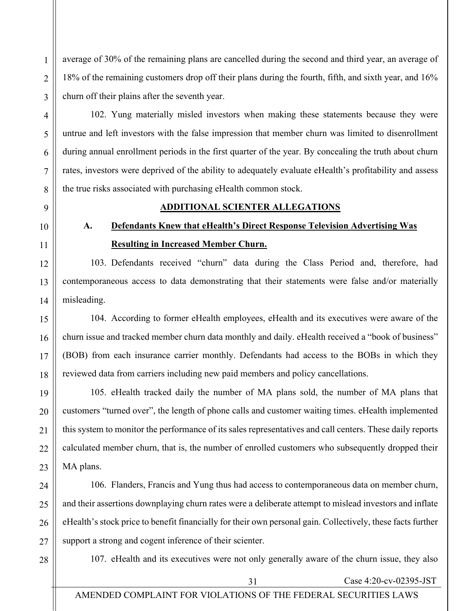average of 30% of the remaining plans are cancelled during the second and third year, an average of 18% of the remaining customers drop off their plans during the fourth, fifth, and sixth year, and 16% churn off their plains after the seventh year.

102. Yung materially misled investors when making these statements because they were untrue and left investors with the false impression that member churn was limited to disenrollment during annual enrollment periods in the first quarter of the year. By concealing the truth about churn rates, investors were deprived of the ability to adequately evaluate eHealth's profitability and assess the true risks associated with purchasing eHealth common stock.

1

2

3

4

5

6

7

8

9

10

11

12

13

14

15

16

17

18

# **ADDITIONAL SCIENTER ALLEGATIONS**

**A. Defendants Knew that eHealth's Direct Response Television Advertising Was Resulting in Increased Member Churn.**

103. Defendants received "churn" data during the Class Period and, therefore, had contemporaneous access to data demonstrating that their statements were false and/or materially misleading.

104. According to former eHealth employees, eHealth and its executives were aware of the churn issue and tracked member churn data monthly and daily. eHealth received a "book of business" (BOB) from each insurance carrier monthly. Defendants had access to the BOBs in which they reviewed data from carriers including new paid members and policy cancellations.

19 20 21 22 23 105. eHealth tracked daily the number of MA plans sold, the number of MA plans that customers "turned over", the length of phone calls and customer waiting times. eHealth implemented this system to monitor the performance of its sales representatives and call centers. These daily reports calculated member churn, that is, the number of enrolled customers who subsequently dropped their MA plans.

24 25 26 27 106. Flanders, Francis and Yung thus had access to contemporaneous data on member churn, and their assertions downplaying churn rates were a deliberate attempt to mislead investors and inflate eHealth's stock price to benefit financially for their own personal gain. Collectively, these facts further support a strong and cogent inference of their scienter.

28

107. eHealth and its executives were not only generally aware of the churn issue, they also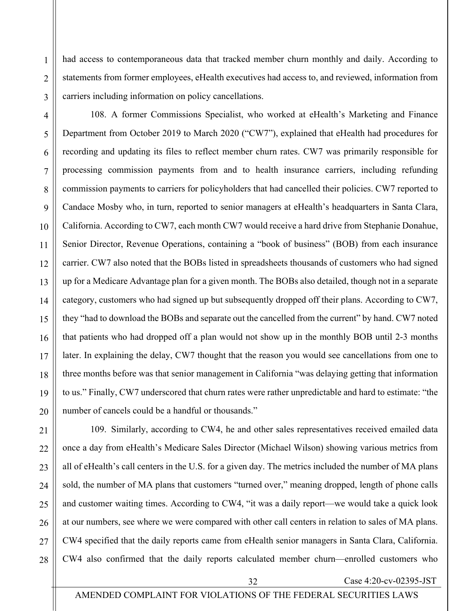had access to contemporaneous data that tracked member churn monthly and daily. According to statements from former employees, eHealth executives had access to, and reviewed, information from carriers including information on policy cancellations.

4 5 6 7 8 9 10 11 12 13 14 15 16 17 18 19 20 108. A former Commissions Specialist, who worked at eHealth's Marketing and Finance Department from October 2019 to March 2020 ("CW7"), explained that eHealth had procedures for recording and updating its files to reflect member churn rates. CW7 was primarily responsible for processing commission payments from and to health insurance carriers, including refunding commission payments to carriers for policyholders that had cancelled their policies. CW7 reported to Candace Mosby who, in turn, reported to senior managers at eHealth's headquarters in Santa Clara, California. According to CW7, each month CW7 would receive a hard drive from Stephanie Donahue, Senior Director, Revenue Operations, containing a "book of business" (BOB) from each insurance carrier. CW7 also noted that the BOBs listed in spreadsheets thousands of customers who had signed up for a Medicare Advantage plan for a given month. The BOBs also detailed, though not in a separate category, customers who had signed up but subsequently dropped off their plans. According to CW7, they "had to download the BOBs and separate out the cancelled from the current" by hand. CW7 noted that patients who had dropped off a plan would not show up in the monthly BOB until 2-3 months later. In explaining the delay, CW7 thought that the reason you would see cancellations from one to three months before was that senior management in California "was delaying getting that information to us." Finally, CW7 underscored that churn rates were rather unpredictable and hard to estimate: "the number of cancels could be a handful or thousands."

28 109. Similarly, according to CW4, he and other sales representatives received emailed data once a day from eHealth's Medicare Sales Director (Michael Wilson) showing various metrics from all of eHealth's call centers in the U.S. for a given day. The metrics included the number of MA plans sold, the number of MA plans that customers "turned over," meaning dropped, length of phone calls and customer waiting times. According to CW4, "it was a daily report—we would take a quick look at our numbers, see where we were compared with other call centers in relation to sales of MA plans. CW4 specified that the daily reports came from eHealth senior managers in Santa Clara, California. CW4 also confirmed that the daily reports calculated member churn—enrolled customers who

1

2

3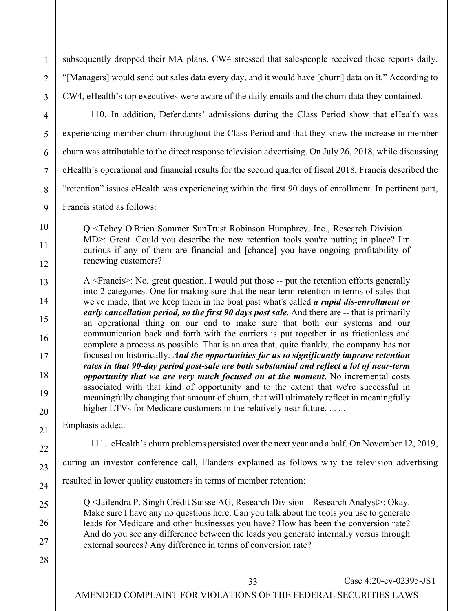subsequently dropped their MA plans. CW4 stressed that salespeople received these reports daily. "[Managers] would send out sales data every day, and it would have [churn] data on it." According to CW4, eHealth's top executives were aware of the daily emails and the churn data they contained.

28

1

2

3

110. In addition, Defendants' admissions during the Class Period show that eHealth was experiencing member churn throughout the Class Period and that they knew the increase in member churn was attributable to the direct response television advertising. On July 26, 2018, while discussing eHealth's operational and financial results for the second quarter of fiscal 2018, Francis described the "retention" issues eHealth was experiencing within the first 90 days of enrollment. In pertinent part,

Francis stated as follows:

Q <Tobey O'Brien Sommer SunTrust Robinson Humphrey, Inc., Research Division – MD>: Great. Could you describe the new retention tools you're putting in place? I'm curious if any of them are financial and [chance] you have ongoing profitability of renewing customers?

A <Francis>: No, great question. I would put those -- put the retention efforts generally into 2 categories. One for making sure that the near-term retention in terms of sales that we've made, that we keep them in the boat past what's called *a rapid dis-enrollment or early cancellation period, so the first 90 days post sale*. And there are -- that is primarily an operational thing on our end to make sure that both our systems and our communication back and forth with the carriers is put together in as frictionless and complete a process as possible. That is an area that, quite frankly, the company has not focused on historically. *And the opportunities for us to significantly improve retention rates in that 90-day period post-sale are both substantial and reflect a lot of near-term opportunity that we are very much focused on at the moment*. No incremental costs associated with that kind of opportunity and to the extent that we're successful in meaningfully changing that amount of churn, that will ultimately reflect in meaningfully higher LTVs for Medicare customers in the relatively near future. . . . . .

Emphasis added.

111. eHealth's churn problems persisted over the next year and a half. On November 12, 2019,

during an investor conference call, Flanders explained as follows why the television advertising

resulted in lower quality customers in terms of member retention:

Q <Jailendra P. Singh Crédit Suisse AG, Research Division – Research Analyst>: Okay. Make sure I have any no questions here. Can you talk about the tools you use to generate leads for Medicare and other businesses you have? How has been the conversion rate? And do you see any difference between the leads you generate internally versus through external sources? Any difference in terms of conversion rate?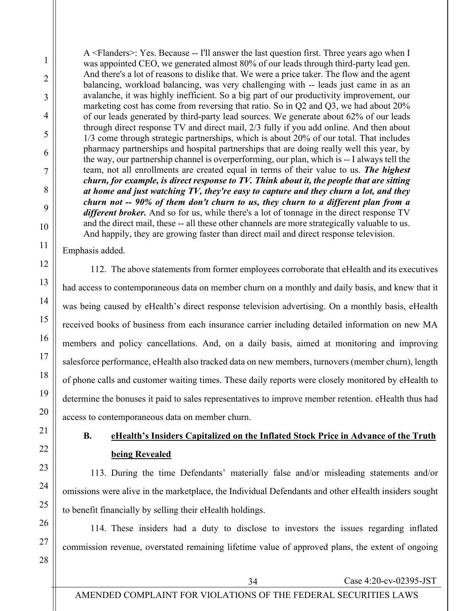A <Flanders>: Yes. Because -- I'll answer the last question first. Three years ago when I was appointed CEO, we generated almost 80% of our leads through third-party lead gen. And there's a lot of reasons to dislike that. We were a price taker. The flow and the agent balancing, workload balancing, was very challenging with -- leads just came in as an avalanche, it was highly inefficient. So a big part of our productivity improvement, our marketing cost has come from reversing that ratio. So in Q2 and Q3, we had about 20% of our leads generated by third-party lead sources. We generate about 62% of our leads through direct response TV and direct mail, 2/3 fully if you add online. And then about 1/3 come through strategic partnerships, which is about 20% of our total. That includes pharmacy partnerships and hospital partnerships that are doing really well this year, by the way, our partnership channel is overperforming, our plan, which is -- I always tell the team, not all enrollments are created equal in terms of their value to us. *The highest churn, for example, is direct response to TV. Think about it, the people that are sitting at home and just watching TV, they're easy to capture and they churn a lot, and they churn not -- 90% of them don't churn to us, they churn to a different plan from a*  different broker. And so for us, while there's a lot of tonnage in the direct response TV and the direct mail, these -- all these other channels are more strategically valuable to us. And happily, they are growing faster than direct mail and direct response television.

Emphasis added.

1

2

3

4

5

6

7

8

9

10

11

12

13

14

15

16

17

18

19

20

21

22

23

112. The above statements from former employees corroborate that eHealth and its executives had access to contemporaneous data on member churn on a monthly and daily basis, and knew that it was being caused by eHealth's direct response television advertising. On a monthly basis, eHealth received books of business from each insurance carrier including detailed information on new MA members and policy cancellations. And, on a daily basis, aimed at monitoring and improving salesforce performance, eHealth also tracked data on new members, turnovers (member churn), length of phone calls and customer waiting times. These daily reports were closely monitored by eHealth to determine the bonuses it paid to sales representatives to improve member retention. eHealth thus had access to contemporaneous data on member churn.

**B. eHealth's Insiders Capitalized on the Inflated Stock Price in Advance of the Truth being Revealed**

113. During the time Defendants' materially false and/or misleading statements and/or omissions were alive in the marketplace, the Individual Defendants and other eHealth insiders sought to benefit financially by selling their eHealth holdings.

114. These insiders had a duty to disclose to investors the issues regarding inflated commission revenue, overstated remaining lifetime value of approved plans, the extent of ongoing

28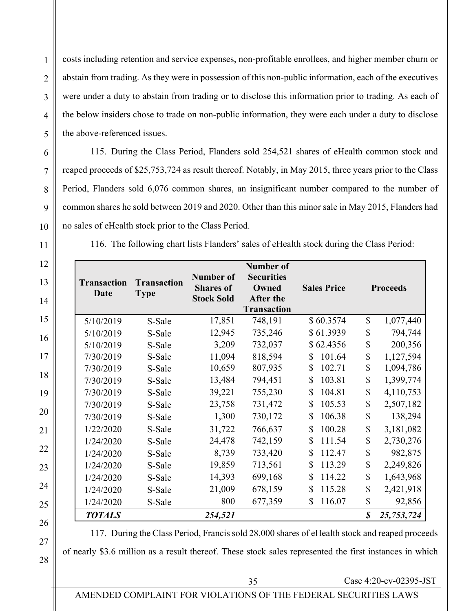2

3

costs including retention and service expenses, non-profitable enrollees, and higher member churn or abstain from trading. As they were in possession of this non-public information, each of the executives were under a duty to abstain from trading or to disclose this information prior to trading. As each of the below insiders chose to trade on non-public information, they were each under a duty to disclose the above-referenced issues.

115. During the Class Period, Flanders sold 254,521 shares of eHealth common stock and reaped proceeds of \$25,753,724 as result thereof. Notably, in May 2015, three years prior to the Class Period, Flanders sold 6,076 common shares, an insignificant number compared to the number of common shares he sold between 2019 and 2020. Other than this minor sale in May 2015, Flanders had no sales of eHealth stock prior to the Class Period.

116. The following chart lists Flanders' sales of eHealth stock during the Class Period:

| <b>Transaction</b><br>Date | <b>Transaction</b><br><b>Type</b> | <b>Number of</b><br><b>Shares of</b><br><b>Stock Sold</b> | <b>Number of</b><br><b>Securities</b><br>Owned<br><b>After the</b><br><b>Transaction</b> | <b>Sales Price</b>     |               | <b>Proceeds</b> |
|----------------------------|-----------------------------------|-----------------------------------------------------------|------------------------------------------------------------------------------------------|------------------------|---------------|-----------------|
| 5/10/2019                  | S-Sale                            | 17,851                                                    | 748,191                                                                                  | \$60.3574              | $\mathcal{S}$ | 1,077,440       |
| 5/10/2019                  | S-Sale                            | 12,945                                                    | 735,246                                                                                  | \$61.3939              | \$            | 794,744         |
| 5/10/2019                  | S-Sale                            | 3,209                                                     | 732,037                                                                                  | \$62.4356              | $\mathsf{\$}$ | 200,356         |
| 7/30/2019                  | S-Sale                            | 11,094                                                    | 818,594                                                                                  | 101.64<br>$\mathbb{S}$ | \$            | 1,127,594       |
| 7/30/2019                  | S-Sale                            | 10,659                                                    | 807,935                                                                                  | \$<br>102.71           | \$            | 1,094,786       |
| 7/30/2019                  | S-Sale                            | 13,484                                                    | 794,451                                                                                  | \$<br>103.81           | \$            | 1,399,774       |
| 7/30/2019                  | S-Sale                            | 39,221                                                    | 755,230                                                                                  | \$<br>104.81           | \$            | 4,110,753       |
| 7/30/2019                  | S-Sale                            | 23,758                                                    | 731,472                                                                                  | \$<br>105.53           | \$            | 2,507,182       |
| 7/30/2019                  | S-Sale                            | 1,300                                                     | 730,172                                                                                  | \$<br>106.38           | \$            | 138,294         |
| 1/22/2020                  | S-Sale                            | 31,722                                                    | 766,637                                                                                  | \$<br>100.28           | \$            | 3,181,082       |
| 1/24/2020                  | S-Sale                            | 24,478                                                    | 742,159                                                                                  | \$<br>111.54           | \$            | 2,730,276       |
| 1/24/2020                  | S-Sale                            | 8,739                                                     | 733,420                                                                                  | \$<br>112.47           | \$            | 982,875         |
| 1/24/2020                  | S-Sale                            | 19,859                                                    | 713,561                                                                                  | \$<br>113.29           | \$            | 2,249,826       |
| 1/24/2020                  | S-Sale                            | 14,393                                                    | 699,168                                                                                  | $\mathbb{S}$<br>114.22 | \$            | 1,643,968       |
| 1/24/2020                  | S-Sale                            | 21,009                                                    | 678,159                                                                                  | \$<br>115.28           | \$            | 2,421,918       |
| 1/24/2020                  | S-Sale                            | 800                                                       | 677,359                                                                                  | \$<br>116.07           | \$            | 92,856          |
| <b>TOTALS</b>              |                                   | 254,521                                                   |                                                                                          |                        | \$            | 25,753,724      |

117. During the Class Period, Francis sold 28,000 shares of eHealth stock and reaped proceeds

of nearly \$3.6 million as a result thereof. These stock sales represented the first instances in which

35 Case 4:20-cv-02395-JST

# AMENDED COMPLAINT FOR VIOLATIONS OF THE FEDERAL SECURITIES LAWS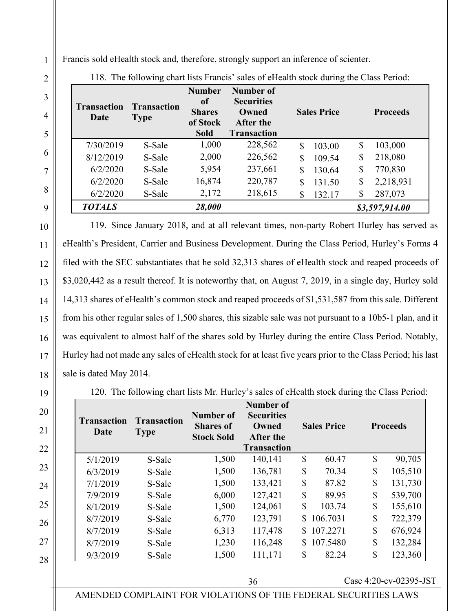Francis sold eHealth stock and, therefore, strongly support an inference of scienter.

| <b>Transaction</b><br>Date | <b>Transaction</b><br><b>Type</b> | <b>Number</b><br>0f<br><b>Shares</b><br>of Stock<br><b>Sold</b> | <b>Number of</b><br><b>Securities</b><br>Owned<br>After the<br><b>Transaction</b> | <b>Sales Price</b> | <b>Proceeds</b>         |
|----------------------------|-----------------------------------|-----------------------------------------------------------------|-----------------------------------------------------------------------------------|--------------------|-------------------------|
| 7/30/2019                  | S-Sale                            | 1,000                                                           | 228,562                                                                           | 103.00<br>S        | 103,000<br>\$           |
| 8/12/2019                  | S-Sale                            | 2,000                                                           | 226,562                                                                           | 109.54<br>S        | 218,080<br>\$           |
| 6/2/2020                   | S-Sale                            | 5,954                                                           | 237,661                                                                           | \$<br>130.64       | 770,830<br>$\mathbb{S}$ |
| 6/2/2020                   | S-Sale                            | 16,874                                                          | 220,787                                                                           | 131.50<br>\$       | 2,218,931<br>\$         |
| 6/2/2020                   | S-Sale                            | 2,172                                                           | 218,615                                                                           | \$<br>132.17       | 287,073<br>\$           |
| <b>TOTALS</b>              |                                   | 28,000                                                          |                                                                                   |                    | \$3,597,914.00          |

118. The following chart lists Francis' sales of eHealth stock during the Class Period:

119. Since January 2018, and at all relevant times, non-party Robert Hurley has served as eHealth's President, Carrier and Business Development. During the Class Period, Hurley's Forms 4 filed with the SEC substantiates that he sold 32,313 shares of eHealth stock and reaped proceeds of \$3,020,442 as a result thereof. It is noteworthy that, on August 7, 2019, in a single day, Hurley sold 14,313 shares of eHealth's common stock and reaped proceeds of \$1,531,587 from this sale. Different from his other regular sales of 1,500 shares, this sizable sale was not pursuant to a 10b5-1 plan, and it was equivalent to almost half of the shares sold by Hurley during the entire Class Period. Notably, Hurley had not made any sales of eHealth stock for at least five years prior to the Class Period; his last sale is dated May 2014.

120. The following chart lists Mr. Hurley's sales of eHealth stock during the Class Period:

| <b>Transaction</b><br>Date | <b>Transaction</b><br><b>Type</b> | Number of<br><b>Shares</b> of<br><b>Stock Sold</b> | Number of<br><b>Securities</b><br>Owned<br><b>After the</b><br><b>Transaction</b> |    | <b>Sales Price</b> |              | <b>Proceeds</b> |
|----------------------------|-----------------------------------|----------------------------------------------------|-----------------------------------------------------------------------------------|----|--------------------|--------------|-----------------|
| 5/1/2019                   | S-Sale                            | 1,500                                              | 140,141                                                                           | \$ | 60.47              | \$           | 90,705          |
| 6/3/2019                   | S-Sale                            | 1,500                                              | 136,781                                                                           | \$ | 70.34              | \$           | 105,510         |
| 7/1/2019                   | S-Sale                            | 1,500                                              | 133,421                                                                           | \$ | 87.82              | \$           | 131,730         |
| 7/9/2019                   | S-Sale                            | 6,000                                              | 127,421                                                                           | \$ | 89.95              | $\mathbb{S}$ | 539,700         |
| 8/1/2019                   | S-Sale                            | 1,500                                              | 124,061                                                                           | \$ | 103.74             | \$           | 155,610         |
| 8/7/2019                   | S-Sale                            | 6,770                                              | 123,791                                                                           | \$ | 106.7031           | $\mathbb{S}$ | 722,379         |
| 8/7/2019                   | S-Sale                            | 6,313                                              | 117,478                                                                           | S. | 107.2271           | \$           | 676,924         |
| 8/7/2019                   | S-Sale                            | 1,230                                              | 116,248                                                                           | S. | 107.5480           | \$           | 132,284         |
| 9/3/2019                   | S-Sale                            | 1,500                                              | 111,171                                                                           | \$ | 82.24              | $\mathbb{S}$ | 123,360         |

36 Case 4:20-cv-02395-JST

AMENDED COMPLAINT FOR VIOLATIONS OF THE FEDERAL SECURITIES LAWS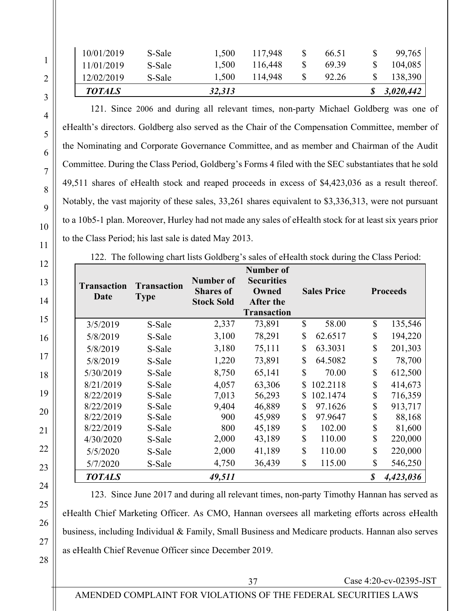| 10/01/2019    | S-Sale | 1,500  | 117,948 | 66.51 | 99,765    |
|---------------|--------|--------|---------|-------|-----------|
| 11/01/2019    | S-Sale | 1,500  | 116,448 | 69.39 | 104,085   |
| 12/02/2019    | S-Sale | 1,500  | 114,948 | 92.26 | 138,390   |
| <b>TOTALS</b> |        | 32,313 |         |       | 3,020,442 |

121. Since 2006 and during all relevant times, non-party Michael Goldberg was one of eHealth's directors. Goldberg also served as the Chair of the Compensation Committee, member of the Nominating and Corporate Governance Committee, and as member and Chairman of the Audit Committee. During the Class Period, Goldberg's Forms 4 filed with the SEC substantiates that he sold 49,511 shares of eHealth stock and reaped proceeds in excess of \$4,423,036 as a result thereof. Notably, the vast majority of these sales, 33,261 shares equivalent to \$3,336,313, were not pursuant to a 10b5-1 plan. Moreover, Hurley had not made any sales of eHealth stock for at least six years prior to the Class Period; his last sale is dated May 2013.

122. The following chart lists Goldberg's sales of eHealth stock during the Class Period:

| <b>Transaction</b><br>Date | <b>Transaction</b><br><b>Type</b> | Number of<br><b>Shares of</b><br><b>Stock Sold</b> | Number of<br><b>Securities</b><br>Owned<br>After the<br><b>Transaction</b> |               | <b>Sales Price</b> |              | <b>Proceeds</b> |
|----------------------------|-----------------------------------|----------------------------------------------------|----------------------------------------------------------------------------|---------------|--------------------|--------------|-----------------|
| 3/5/2019                   | S-Sale                            | 2,337                                              | 73,891                                                                     | $\mathcal{S}$ | 58.00              | \$           | 135,546         |
| 5/8/2019                   | S-Sale                            | 3,100                                              | 78,291                                                                     | \$            | 62.6517            | \$           | 194,220         |
| 5/8/2019                   | S-Sale                            | 3,180                                              | 75,111                                                                     | \$            | 63.3031            | \$           | 201,303         |
| 5/8/2019                   | S-Sale                            | 1,220                                              | 73,891                                                                     | \$            | 64.5082            | \$           | 78,700          |
| 5/30/2019                  | S-Sale                            | 8,750                                              | 65,141                                                                     | $\mathbb{S}$  | 70.00              | $\mathbb{S}$ | 612,500         |
| 8/21/2019                  | S-Sale                            | 4,057                                              | 63,306                                                                     |               | 102.2118           | \$           | 414,673         |
| 8/22/2019                  | S-Sale                            | 7,013                                              | 56,293                                                                     |               | 102.1474           | \$           | 716,359         |
| 8/22/2019                  | S-Sale                            | 9,404                                              | 46,889                                                                     | \$            | 97.1626            | \$           | 913,717         |
| 8/22/2019                  | S-Sale                            | 900                                                | 45,989                                                                     | $\mathbb{S}$  | 97.9647            | \$           | 88,168          |
| 8/22/2019                  | S-Sale                            | 800                                                | 45,189                                                                     | \$            | 102.00             | \$           | 81,600          |
| 4/30/2020                  | S-Sale                            | 2,000                                              | 43,189                                                                     | \$            | 110.00             | \$           | 220,000         |
| 5/5/2020                   | S-Sale                            | 2,000                                              | 41,189                                                                     | $\mathbb{S}$  | 110.00             | \$           | 220,000         |
| 5/7/2020                   | S-Sale                            | 4,750                                              | 36,439                                                                     | $\mathbb{S}$  | 115.00             | \$           | 546,250         |
| <b>TOTALS</b>              |                                   | 49,511                                             |                                                                            |               |                    |              | 4,423,036       |

123. Since June 2017 and during all relevant times, non-party Timothy Hannan has served as eHealth Chief Marketing Officer. As CMO, Hannan oversees all marketing efforts across eHealth business, including Individual & Family, Small Business and Medicare products. Hannan also serves as eHealth Chief Revenue Officer since December 2019.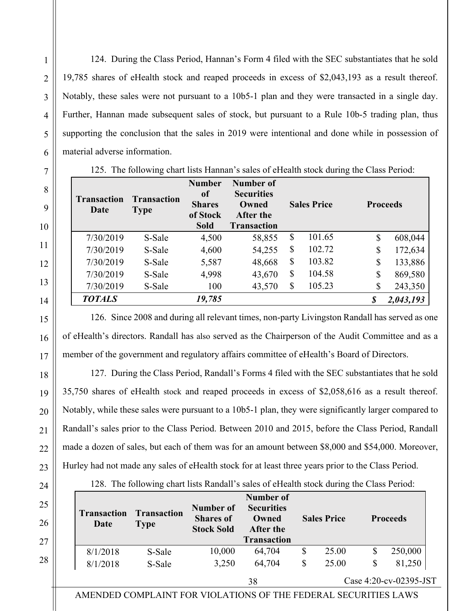124. During the Class Period, Hannan's Form 4 filed with the SEC substantiates that he sold 19,785 shares of eHealth stock and reaped proceeds in excess of \$2,043,193 as a result thereof. Notably, these sales were not pursuant to a 10b5-1 plan and they were transacted in a single day. Further, Hannan made subsequent sales of stock, but pursuant to a Rule 10b-5 trading plan, thus supporting the conclusion that the sales in 2019 were intentional and done while in possession of material adverse information.

| <b>Transaction</b><br>Date | <b>Transaction</b><br><b>Type</b> | <b>Number</b><br>0f<br><b>Shares</b><br>of Stock<br><b>Sold</b> | Number of<br><b>Securities</b><br>Owned<br><b>After the</b><br><b>Transaction</b> | <b>Sales Price</b> | <b>Proceeds</b> |
|----------------------------|-----------------------------------|-----------------------------------------------------------------|-----------------------------------------------------------------------------------|--------------------|-----------------|
| 7/30/2019                  | S-Sale                            | 4,500                                                           | 58,855                                                                            | \$<br>101.65       | \$<br>608,044   |
| 7/30/2019                  | S-Sale                            | 4,600                                                           | 54,255                                                                            | \$<br>102.72       | \$<br>172,634   |
| 7/30/2019                  | S-Sale                            | 5,587                                                           | 48,668                                                                            | \$<br>103.82       | \$<br>133,886   |
| 7/30/2019                  | S-Sale                            | 4,998                                                           | 43,670                                                                            | \$<br>104.58       | \$<br>869,580   |
| 7/30/2019                  | S-Sale                            | 100                                                             | 43,570                                                                            | \$<br>105.23       | \$<br>243,350   |
| <b>TOTALS</b>              |                                   | 19,785                                                          |                                                                                   |                    | 2,043,193       |

126. Since 2008 and during all relevant times, non-party Livingston Randall has served as one of eHealth's directors. Randall has also served as the Chairperson of the Audit Committee and as a member of the government and regulatory affairs committee of eHealth's Board of Directors.

127. During the Class Period, Randall's Forms 4 filed with the SEC substantiates that he sold 35,750 shares of eHealth stock and reaped proceeds in excess of \$2,058,616 as a result thereof. Notably, while these sales were pursuant to a 10b5-1 plan, they were significantly larger compared to Randall's sales prior to the Class Period. Between 2010 and 2015, before the Class Period, Randall made a dozen of sales, but each of them was for an amount between \$8,000 and \$54,000. Moreover, Hurley had not made any sales of eHealth stock for at least three years prior to the Class Period.

| <b>Transaction</b><br>Date | <b>Transaction</b><br><b>Type</b> | Number of<br><b>Shares of</b><br><b>Stock Sold</b> | Number of<br><b>Securities</b><br>Owned<br>After the<br><b>Transaction</b> | <b>Sales Price</b> | <b>Proceeds</b> |
|----------------------------|-----------------------------------|----------------------------------------------------|----------------------------------------------------------------------------|--------------------|-----------------|
| 8/1/2018                   | S-Sale                            | 10,000                                             | 64,704                                                                     | \$<br>25.00        | \$<br>250,000   |
| 8/1/2018                   | S-Sale                            | 3,250                                              | 64,704                                                                     | \$<br>25.00        | \$<br>81,250    |

AMENDED COMPLAINT FOR VIOLATIONS OF THE FEDERAL SECURITIES LAWS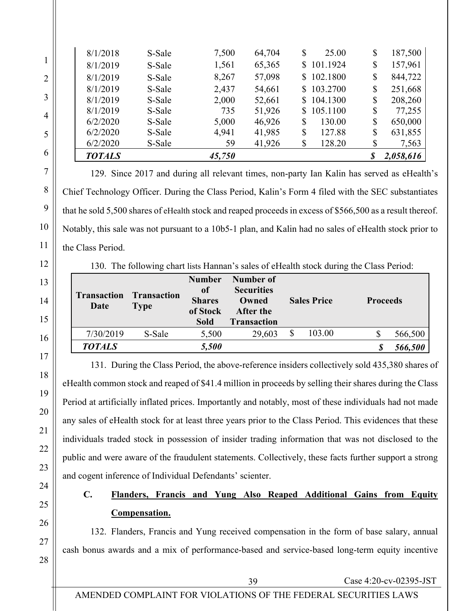| <b>TOTALS</b> |        | 45,750 |        |    |            | 2,058,616     |
|---------------|--------|--------|--------|----|------------|---------------|
| 6/2/2020      | S-Sale | 59     | 41,926 | \$ | 128.20     | \$<br>7,563   |
| 6/2/2020      | S-Sale | 4,941  | 41,985 | \$ | 127.88     | \$<br>631,855 |
| 6/2/2020      | S-Sale | 5,000  | 46,926 | S  | 130.00     | \$<br>650,000 |
| 8/1/2019      | S-Sale | 735    | 51,926 | S. | 105.1100   | \$<br>77,255  |
| 8/1/2019      | S-Sale | 2,000  | 52,661 |    | \$104.1300 | \$<br>208,260 |
| 8/1/2019      | S-Sale | 2,437  | 54,661 |    | \$103.2700 | \$<br>251,668 |
| 8/1/2019      | S-Sale | 8,267  | 57,098 |    | \$102.1800 | \$<br>844,722 |
| 8/1/2019      | S-Sale | 1,561  | 65,365 |    | \$101.1924 | \$<br>157,961 |
| 8/1/2018      | S-Sale | 7,500  | 64,704 | S  | 25.00      | \$<br>187,500 |

129. Since 2017 and during all relevant times, non-party Ian Kalin has served as eHealth's Chief Technology Officer. During the Class Period, Kalin's Form 4 filed with the SEC substantiates that he sold 5,500 shares of eHealth stock and reaped proceeds in excess of \$566,500 as a result thereof. Notably, this sale was not pursuant to a 10b5-1 plan, and Kalin had no sales of eHealth stock prior to the Class Period.

130. The following chart lists Hannan's sales of eHealth stock during the Class Period:

| <b>Transaction</b><br>Date | <b>Transaction</b><br><b>Type</b> | <b>Number</b><br>of<br><b>Shares</b><br>of Stock<br><b>Sold</b> | Number of<br><b>Securities</b><br>Owned<br>After the<br><b>Transaction</b> | <b>Sales Price</b> | <b>Proceeds</b> |         |
|----------------------------|-----------------------------------|-----------------------------------------------------------------|----------------------------------------------------------------------------|--------------------|-----------------|---------|
| 7/30/2019                  | S-Sale                            | 5,500                                                           | 29,603                                                                     | 103.00             | \$              | 566,500 |
| <b>TOTALS</b>              |                                   | 5,500                                                           |                                                                            |                    |                 | 566,500 |

131. During the Class Period, the above-reference insiders collectively sold 435,380 shares of eHealth common stock and reaped of \$41.4 million in proceeds by selling their shares during the Class Period at artificially inflated prices. Importantly and notably, most of these individuals had not made any sales of eHealth stock for at least three years prior to the Class Period. This evidences that these individuals traded stock in possession of insider trading information that was not disclosed to the public and were aware of the fraudulent statements. Collectively, these facts further support a strong and cogent inference of Individual Defendants' scienter.

# **C. Flanders, Francis and Yung Also Reaped Additional Gains from Equity Compensation.**

132. Flanders, Francis and Yung received compensation in the form of base salary, annual cash bonus awards and a mix of performance-based and service-based long-term equity incentive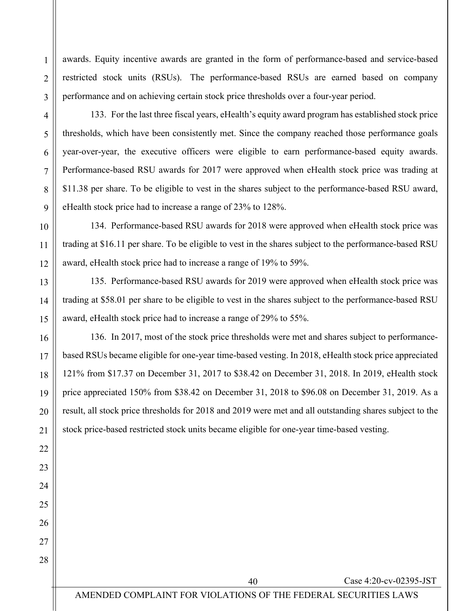awards. Equity incentive awards are granted in the form of performance-based and service-based restricted stock units (RSUs). The performance-based RSUs are earned based on company performance and on achieving certain stock price thresholds over a four-year period.

133. For the last three fiscal years, eHealth's equity award program has established stock price thresholds, which have been consistently met. Since the company reached those performance goals year-over-year, the executive officers were eligible to earn performance-based equity awards. Performance-based RSU awards for 2017 were approved when eHealth stock price was trading at \$11.38 per share. To be eligible to vest in the shares subject to the performance-based RSU award, eHealth stock price had to increase a range of 23% to 128%.

134. Performance-based RSU awards for 2018 were approved when eHealth stock price was trading at \$16.11 per share. To be eligible to vest in the shares subject to the performance-based RSU award, eHealth stock price had to increase a range of 19% to 59%.

135. Performance-based RSU awards for 2019 were approved when eHealth stock price was trading at \$58.01 per share to be eligible to vest in the shares subject to the performance-based RSU award, eHealth stock price had to increase a range of 29% to 55%.

136. In 2017, most of the stock price thresholds were met and shares subject to performancebased RSUs became eligible for one-year time-based vesting. In 2018, eHealth stock price appreciated 121% from \$17.37 on December 31, 2017 to \$38.42 on December 31, 2018. In 2019, eHealth stock price appreciated 150% from \$38.42 on December 31, 2018 to \$96.08 on December 31, 2019. As a result, all stock price thresholds for 2018 and 2019 were met and all outstanding shares subject to the stock price-based restricted stock units became eligible for one-year time-based vesting.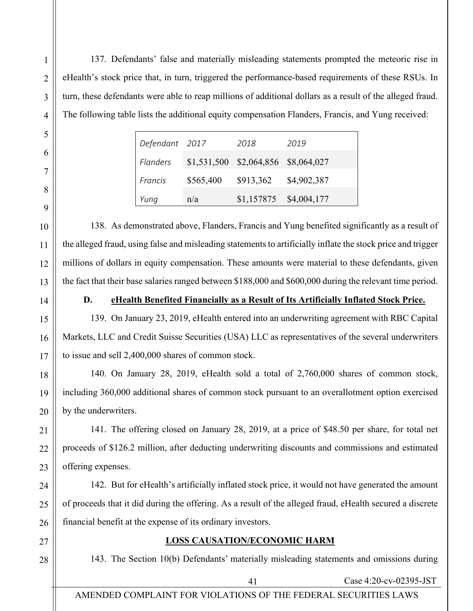137. Defendants' false and materially misleading statements prompted the meteoric rise in eHealth's stock price that, in turn, triggered the performance-based requirements of these RSUs. In turn, these defendants were able to reap millions of additional dollars as a result of the alleged fraud. The following table lists the additional equity compensation Flanders, Francis, and Yung received:

| Defendant 2017 |           | 2018                                | 2019                     |
|----------------|-----------|-------------------------------------|--------------------------|
| Flanders       |           | \$1,531,500 \$2,064,856 \$8,064,027 |                          |
| Francis        | \$565,400 | \$913,362                           | \$4,902,387              |
| Yung           | n/a       |                                     | $$1,157875$ $$4,004,177$ |

138. As demonstrated above, Flanders, Francis and Yung benefited significantly as a result of the alleged fraud, using false and misleading statements to artificially inflate the stock price and trigger millions of dollars in equity compensation. These amounts were material to these defendants, given the fact that their base salaries ranged between \$188,000 and \$600,000 during the relevant time period.

#### **D. eHealth Benefited Financially as a Result of Its Artificially Inflated Stock Price.**

139. On January 23, 2019, eHealth entered into an underwriting agreement with RBC Capital Markets, LLC and Credit Suisse Securities (USA) LLC as representatives of the several underwriters to issue and sell 2,400,000 shares of common stock.

140. On January 28, 2019, eHealth sold a total of 2,760,000 shares of common stock, including 360,000 additional shares of common stock pursuant to an overallotment option exercised by the underwriters.

141. The offering closed on January 28, 2019, at a price of \$48.50 per share, for total net proceeds of \$126.2 million, after deducting underwriting discounts and commissions and estimated offering expenses.

142. But for eHealth's artificially inflated stock price, it would not have generated the amount of proceeds that it did during the offering. As a result of the alleged fraud, eHealth secured a discrete financial benefit at the expense of its ordinary investors.

#### **LOSS CAUSATION/ECONOMIC HARM**

143. The Section 10(b) Defendants' materially misleading statements and omissions during

#### AMENDED COMPLAINT FOR VIOLATIONS OF THE FEDERAL SECURITIES LAWS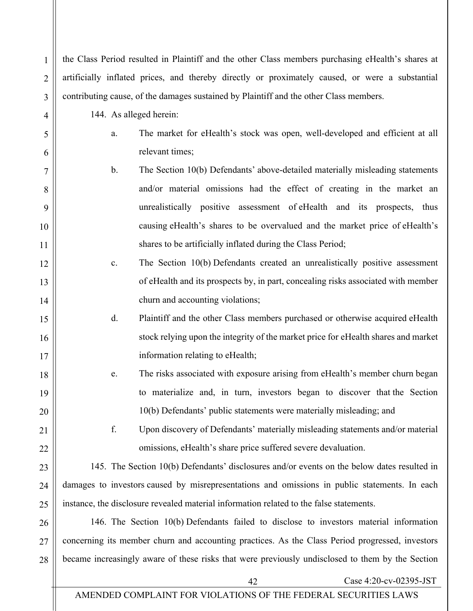| 6  | relevant times;                                                                                  |
|----|--------------------------------------------------------------------------------------------------|
| 7  | b.<br>The Section 10(b) Defendants' above-detailed materially misleading statements              |
| 8  | and/or material omissions had the effect of creating in the market an                            |
| 9  | unrealistically positive assessment of eHealth and its prospects, thus                           |
| 10 | causing eHealth's shares to be overvalued and the market price of eHealth's                      |
| 11 | shares to be artificially inflated during the Class Period;                                      |
| 12 | The Section 10(b) Defendants created an unrealistically positive assessment<br>c.                |
| 13 | of eHealth and its prospects by, in part, concealing risks associated with member                |
| 14 | churn and accounting violations;                                                                 |
| 15 | d.<br>Plaintiff and the other Class members purchased or otherwise acquired eHealth              |
| 16 | stock relying upon the integrity of the market price for eHealth shares and market               |
| 17 | information relating to eHealth;                                                                 |
| 18 | The risks associated with exposure arising from eHealth's member churn began<br>e.               |
| 19 | to materialize and, in turn, investors began to discover that the Section                        |
| 20 | 10(b) Defendants' public statements were materially misleading; and                              |
| 21 | f.<br>Upon discovery of Defendants' materially misleading statements and/or material             |
| 22 | omissions, eHealth's share price suffered severe devaluation.                                    |
| 23 | 145. The Section 10(b) Defendants' disclosures and/or events on the below dates resulted in      |
| 24 | damages to investors caused by misrepresentations and omissions in public statements. In each    |
| 25 | instance, the disclosure revealed material information related to the false statements.          |
| 26 | 146. The Section 10(b) Defendants failed to disclose to investors material information           |
| 27 | concerning its member churn and accounting practices. As the Class Period progressed, investors  |
| 28 | became increasingly aware of these risks that were previously undisclosed to them by the Section |
|    | Case 4:20-cv-02395-JST<br>42                                                                     |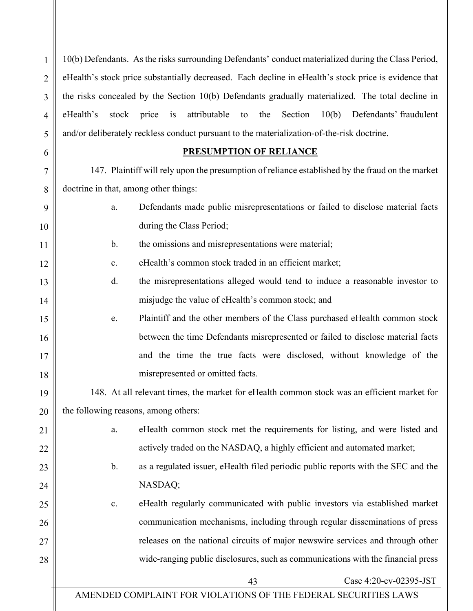10(b) Defendants. As the risks surrounding Defendants' conduct materialized during the Class Period, eHealth's stock price substantially decreased. Each decline in eHealth's stock price is evidence that the risks concealed by the Section 10(b) Defendants gradually materialized. The total decline in eHealth's stock price is attributable to the Section 10(b) Defendants' fraudulent and/or deliberately reckless conduct pursuant to the materialization-of-the-risk doctrine.

#### **PRESUMPTION OF RELIANCE**

147. Plaintiff will rely upon the presumption of reliance established by the fraud on the market doctrine in that, among other things:

| Defendants made public misrepresentations or failed to disclose material facts |
|--------------------------------------------------------------------------------|
| during the Class Period;                                                       |

|--|

- c. eHealth's common stock traded in an efficient market;
- d. the misrepresentations alleged would tend to induce a reasonable investor to misjudge the value of eHealth's common stock; and
- e. Plaintiff and the other members of the Class purchased eHealth common stock between the time Defendants misrepresented or failed to disclose material facts and the time the true facts were disclosed, without knowledge of the misrepresented or omitted facts.

148. At all relevant times, the market for eHealth common stock was an efficient market for the following reasons, among others:

- a. eHealth common stock met the requirements for listing, and were listed and actively traded on the NASDAQ, a highly efficient and automated market;
- b. as a regulated issuer, eHealth filed periodic public reports with the SEC and the NASDAQ;
- c. eHealth regularly communicated with public investors via established market communication mechanisms, including through regular disseminations of press releases on the national circuits of major newswire services and through other wide-ranging public disclosures, such as communications with the financial press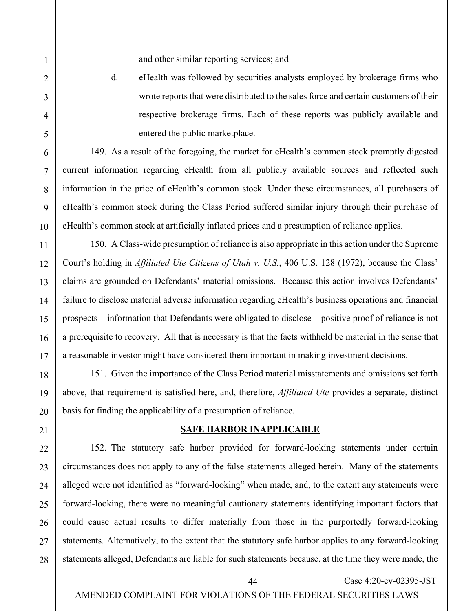and other similar reporting services; and

d. eHealth was followed by securities analysts employed by brokerage firms who wrote reports that were distributed to the sales force and certain customers of their respective brokerage firms. Each of these reports was publicly available and entered the public marketplace.

149. As a result of the foregoing, the market for eHealth's common stock promptly digested current information regarding eHealth from all publicly available sources and reflected such information in the price of eHealth's common stock. Under these circumstances, all purchasers of eHealth's common stock during the Class Period suffered similar injury through their purchase of eHealth's common stock at artificially inflated prices and a presumption of reliance applies.

150. A Class-wide presumption of reliance is also appropriate in this action under the Supreme Court's holding in *Affiliated Ute Citizens of Utah v. U.S.*, 406 U.S. 128 (1972), because the Class' claims are grounded on Defendants' material omissions. Because this action involves Defendants' failure to disclose material adverse information regarding eHealth's business operations and financial prospects – information that Defendants were obligated to disclose – positive proof of reliance is not a prerequisite to recovery. All that is necessary is that the facts withheld be material in the sense that a reasonable investor might have considered them important in making investment decisions.

151. Given the importance of the Class Period material misstatements and omissions set forth above, that requirement is satisfied here, and, therefore, *Affiliated Ute* provides a separate, distinct basis for finding the applicability of a presumption of reliance.

#### **SAFE HARBOR INAPPLICABLE**

152. The statutory safe harbor provided for forward-looking statements under certain circumstances does not apply to any of the false statements alleged herein. Many of the statements alleged were not identified as "forward-looking" when made, and, to the extent any statements were forward-looking, there were no meaningful cautionary statements identifying important factors that could cause actual results to differ materially from those in the purportedly forward-looking statements. Alternatively, to the extent that the statutory safe harbor applies to any forward-looking statements alleged, Defendants are liable for such statements because, at the time they were made, the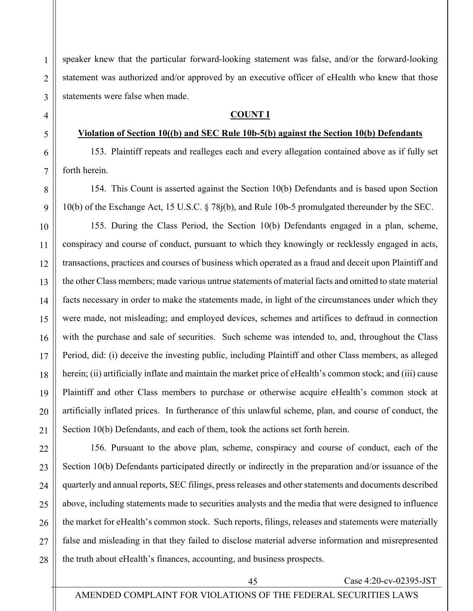speaker knew that the particular forward-looking statement was false, and/or the forward-looking statement was authorized and/or approved by an executive officer of eHealth who knew that those statements were false when made.

#### **COUNT I**

#### **Violation of Section 10((b) and SEC Rule 10b-5(b) against the Section 10(b) Defendants**

153. Plaintiff repeats and realleges each and every allegation contained above as if fully set forth herein.

154. This Count is asserted against the Section 10(b) Defendants and is based upon Section 10(b) of the Exchange Act, 15 U.S.C. § 78j(b), and Rule 10b-5 promulgated thereunder by the SEC.

155. During the Class Period, the Section 10(b) Defendants engaged in a plan, scheme, conspiracy and course of conduct, pursuant to which they knowingly or recklessly engaged in acts, transactions, practices and courses of business which operated as a fraud and deceit upon Plaintiff and the other Class members; made various untrue statements of material facts and omitted to state material facts necessary in order to make the statements made, in light of the circumstances under which they were made, not misleading; and employed devices, schemes and artifices to defraud in connection with the purchase and sale of securities. Such scheme was intended to, and, throughout the Class Period, did: (i) deceive the investing public, including Plaintiff and other Class members, as alleged herein; (ii) artificially inflate and maintain the market price of eHealth's common stock; and (iii) cause Plaintiff and other Class members to purchase or otherwise acquire eHealth's common stock at artificially inflated prices. In furtherance of this unlawful scheme, plan, and course of conduct, the Section 10(b) Defendants, and each of them, took the actions set forth herein.

156. Pursuant to the above plan, scheme, conspiracy and course of conduct, each of the Section 10(b) Defendants participated directly or indirectly in the preparation and/or issuance of the quarterly and annual reports, SEC filings, press releases and other statements and documents described above, including statements made to securities analysts and the media that were designed to influence the market for eHealth's common stock. Such reports, filings, releases and statements were materially false and misleading in that they failed to disclose material adverse information and misrepresented the truth about eHealth's finances, accounting, and business prospects.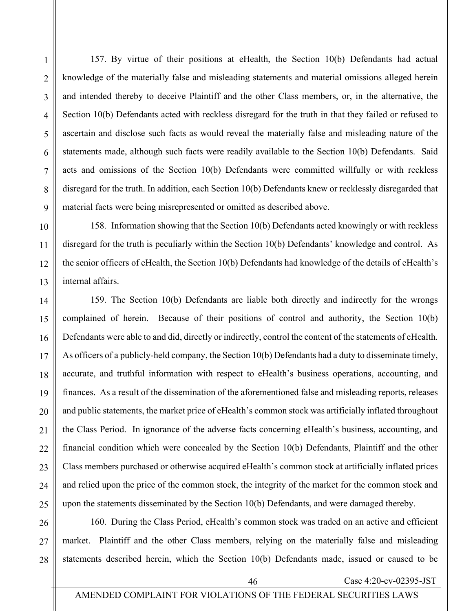157. By virtue of their positions at eHealth, the Section 10(b) Defendants had actual knowledge of the materially false and misleading statements and material omissions alleged herein and intended thereby to deceive Plaintiff and the other Class members, or, in the alternative, the Section 10(b) Defendants acted with reckless disregard for the truth in that they failed or refused to ascertain and disclose such facts as would reveal the materially false and misleading nature of the statements made, although such facts were readily available to the Section 10(b) Defendants. Said acts and omissions of the Section 10(b) Defendants were committed willfully or with reckless disregard for the truth. In addition, each Section 10(b) Defendants knew or recklessly disregarded that material facts were being misrepresented or omitted as described above.

158. Information showing that the Section 10(b) Defendants acted knowingly or with reckless disregard for the truth is peculiarly within the Section 10(b) Defendants' knowledge and control. As the senior officers of eHealth, the Section 10(b) Defendants had knowledge of the details of eHealth's internal affairs.

159. The Section 10(b) Defendants are liable both directly and indirectly for the wrongs complained of herein. Because of their positions of control and authority, the Section 10(b) Defendants were able to and did, directly or indirectly, control the content of the statements of eHealth. As officers of a publicly-held company, the Section 10(b) Defendants had a duty to disseminate timely, accurate, and truthful information with respect to eHealth's business operations, accounting, and finances. As a result of the dissemination of the aforementioned false and misleading reports, releases and public statements, the market price of eHealth's common stock was artificially inflated throughout the Class Period. In ignorance of the adverse facts concerning eHealth's business, accounting, and financial condition which were concealed by the Section 10(b) Defendants, Plaintiff and the other Class members purchased or otherwise acquired eHealth's common stock at artificially inflated prices and relied upon the price of the common stock, the integrity of the market for the common stock and upon the statements disseminated by the Section 10(b) Defendants, and were damaged thereby.

28 160. During the Class Period, eHealth's common stock was traded on an active and efficient market. Plaintiff and the other Class members, relying on the materially false and misleading statements described herein, which the Section 10(b) Defendants made, issued or caused to be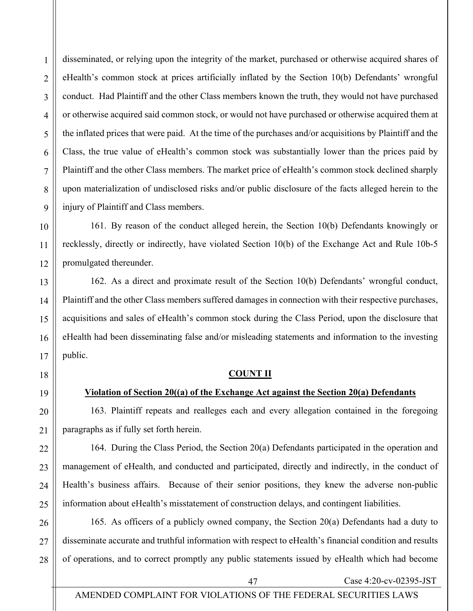disseminated, or relying upon the integrity of the market, purchased or otherwise acquired shares of eHealth's common stock at prices artificially inflated by the Section 10(b) Defendants' wrongful conduct. Had Plaintiff and the other Class members known the truth, they would not have purchased or otherwise acquired said common stock, or would not have purchased or otherwise acquired them at the inflated prices that were paid. At the time of the purchases and/or acquisitions by Plaintiff and the Class, the true value of eHealth's common stock was substantially lower than the prices paid by Plaintiff and the other Class members. The market price of eHealth's common stock declined sharply upon materialization of undisclosed risks and/or public disclosure of the facts alleged herein to the injury of Plaintiff and Class members.

161. By reason of the conduct alleged herein, the Section 10(b) Defendants knowingly or recklessly, directly or indirectly, have violated Section 10(b) of the Exchange Act and Rule 10b-5 promulgated thereunder.

162. As a direct and proximate result of the Section 10(b) Defendants' wrongful conduct, Plaintiff and the other Class members suffered damages in connection with their respective purchases, acquisitions and sales of eHealth's common stock during the Class Period, upon the disclosure that eHealth had been disseminating false and/or misleading statements and information to the investing public.

# **COUNT II**

# **Violation of Section 20((a) of the Exchange Act against the Section 20(a) Defendants**

163. Plaintiff repeats and realleges each and every allegation contained in the foregoing paragraphs as if fully set forth herein.

164. During the Class Period, the Section 20(a) Defendants participated in the operation and management of eHealth, and conducted and participated, directly and indirectly, in the conduct of Health's business affairs. Because of their senior positions, they knew the adverse non-public information about eHealth's misstatement of construction delays, and contingent liabilities.

165. As officers of a publicly owned company, the Section 20(a) Defendants had a duty to disseminate accurate and truthful information with respect to eHealth's financial condition and results of operations, and to correct promptly any public statements issued by eHealth which had become

1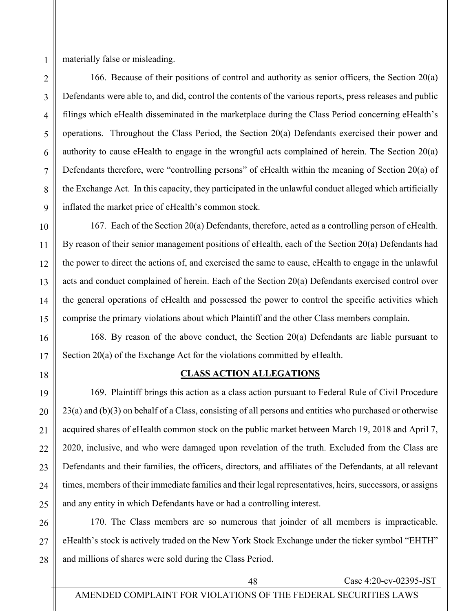materially false or misleading.

166. Because of their positions of control and authority as senior officers, the Section 20(a) Defendants were able to, and did, control the contents of the various reports, press releases and public filings which eHealth disseminated in the marketplace during the Class Period concerning eHealth's operations. Throughout the Class Period, the Section 20(a) Defendants exercised their power and authority to cause eHealth to engage in the wrongful acts complained of herein. The Section 20(a) Defendants therefore, were "controlling persons" of eHealth within the meaning of Section 20(a) of the Exchange Act. In this capacity, they participated in the unlawful conduct alleged which artificially inflated the market price of eHealth's common stock.

167. Each of the Section 20(a) Defendants, therefore, acted as a controlling person of eHealth. By reason of their senior management positions of eHealth, each of the Section 20(a) Defendants had the power to direct the actions of, and exercised the same to cause, eHealth to engage in the unlawful acts and conduct complained of herein. Each of the Section 20(a) Defendants exercised control over the general operations of eHealth and possessed the power to control the specific activities which comprise the primary violations about which Plaintiff and the other Class members complain.

168. By reason of the above conduct, the Section 20(a) Defendants are liable pursuant to Section 20(a) of the Exchange Act for the violations committed by eHealth.

18

## **CLASS ACTION ALLEGATIONS**

169. Plaintiff brings this action as a class action pursuant to Federal Rule of Civil Procedure 23(a) and (b)(3) on behalf of a Class, consisting of all persons and entities who purchased or otherwise acquired shares of eHealth common stock on the public market between March 19, 2018 and April 7, 2020, inclusive, and who were damaged upon revelation of the truth. Excluded from the Class are Defendants and their families, the officers, directors, and affiliates of the Defendants, at all relevant times, members of their immediate families and their legal representatives, heirs, successors, or assigns and any entity in which Defendants have or had a controlling interest.

26 27 28 170. The Class members are so numerous that joinder of all members is impracticable. eHealth's stock is actively traded on the New York Stock Exchange under the ticker symbol "EHTH" and millions of shares were sold during the Class Period.

1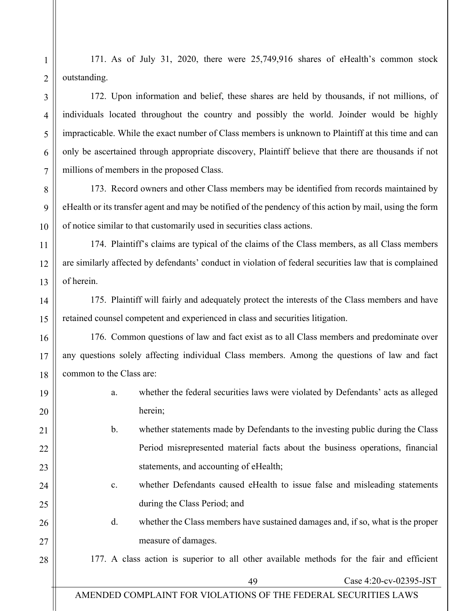171. As of July 31, 2020, there were 25,749,916 shares of eHealth's common stock outstanding.

172. Upon information and belief, these shares are held by thousands, if not millions, of individuals located throughout the country and possibly the world. Joinder would be highly impracticable. While the exact number of Class members is unknown to Plaintiff at this time and can only be ascertained through appropriate discovery, Plaintiff believe that there are thousands if not millions of members in the proposed Class.

173. Record owners and other Class members may be identified from records maintained by eHealth or its transfer agent and may be notified of the pendency of this action by mail, using the form of notice similar to that customarily used in securities class actions.

174. Plaintiff's claims are typical of the claims of the Class members, as all Class members are similarly affected by defendants' conduct in violation of federal securities law that is complained of herein.

175. Plaintiff will fairly and adequately protect the interests of the Class members and have retained counsel competent and experienced in class and securities litigation.

176. Common questions of law and fact exist as to all Class members and predominate over any questions solely affecting individual Class members. Among the questions of law and fact common to the Class are:

- a. whether the federal securities laws were violated by Defendants' acts as alleged herein;
- b. whether statements made by Defendants to the investing public during the Class Period misrepresented material facts about the business operations, financial statements, and accounting of eHealth;
	- c. whether Defendants caused eHealth to issue false and misleading statements during the Class Period; and
- d. whether the Class members have sustained damages and, if so, what is the proper measure of damages.

177. A class action is superior to all other available methods for the fair and efficient

49 Case 4:20-cv-02395-JST

# AMENDED COMPLAINT FOR VIOLATIONS OF THE FEDERAL SECURITIES LAWS